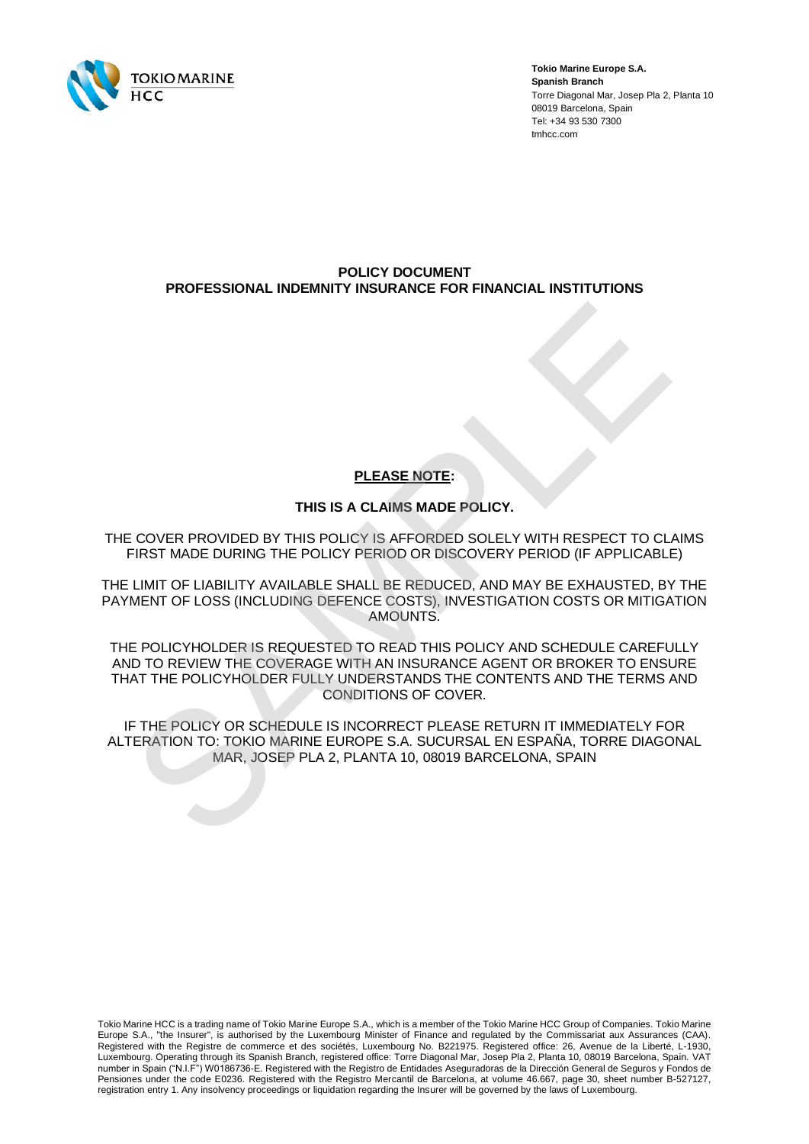

**Tokio Marine Europe S.A. Spanish Branch** Torre Diagonal Mar, Josep Pla 2, Planta 10 08019 Barcelona, Spain Tel: +34 93 530 7300 tmhcc.com

## **POLICY DOCUMENT PROFESSIONAL INDEMNITY INSURANCE FOR FINANCIAL INSTITUTIONS**

# **PLEASE NOTE:**

## **THIS IS A CLAIMS MADE POLICY.**

THE COVER PROVIDED BY THIS POLICY IS AFFORDED SOLELY WITH RESPECT TO CLAIMS FIRST MADE DURING THE POLICY PERIOD OR DISCOVERY PERIOD (IF APPLICABLE)

THE LIMIT OF LIABILITY AVAILABLE SHALL BE REDUCED, AND MAY BE EXHAUSTED, BY THE PAYMENT OF LOSS (INCLUDING DEFENCE COSTS), INVESTIGATION COSTS OR MITIGATION AMOUNTS.

THE POLICYHOLDER IS REQUESTED TO READ THIS POLICY AND SCHEDULE CAREFULLY AND TO REVIEW THE COVERAGE WITH AN INSURANCE AGENT OR BROKER TO ENSURE THAT THE POLICYHOLDER FULLY UNDERSTANDS THE CONTENTS AND THE TERMS AND CONDITIONS OF COVER. **ELEASE NOTE:**<br>THIS IS A CLAIMS MADE POLICY.<br>COVER PROVIDED BY THIS POLICY IS AFFORDED SOLELY WITH RESPECT TO CLIRST MADE DURING THE POLICY PERIOD OR DISCOVERY PERIOD (IF APPLICABLINEM TO FLABILITY AVAILABLE SHALL BE REDUC

IF THE POLICY OR SCHEDULE IS INCORRECT PLEASE RETURN IT IMMEDIATELY FOR ALTERATION TO: TOKIO MARINE EUROPE S.A. SUCURSAL EN ESPAÑA, TORRE DIAGONAL MAR, JOSEP PLA 2, PLANTA 10, 08019 BARCELONA, SPAIN

Tokio Marine HCC is a trading name of Tokio Marine Europe S.A., which is a member of the Tokio Marine HCC Group of Companies. Tokio Marine Europe S.A., "the Insurer", is authorised by the Luxembourg Minister of Finance and regulated by the Commissariat aux Assurances (CAA). Registered with the Registre de commerce et des sociétés, Luxembourg No. B221975. Registered office: 26, Avenue de la Liberté, L-1930, Luxembourg. Operating through its Spanish Branch, registered office: Torre Diagonal Mar, Josep Pla 2, Planta 10, 08019 Barcelona, Spain. VAT number in Spain ("N.I.F") W0186736-E. Registered with the Registro de Entidades Aseguradoras de la Dirección General de Seguros y Fondos de Pensiones under the code E0236. Registered with the Registro Mercantil de Barcelona, at volume 46.667, page 30, sheet number B-527127, registration entry 1. Any insolvency proceedings or liquidation regarding the Insurer will be governed by the laws of Luxembourg.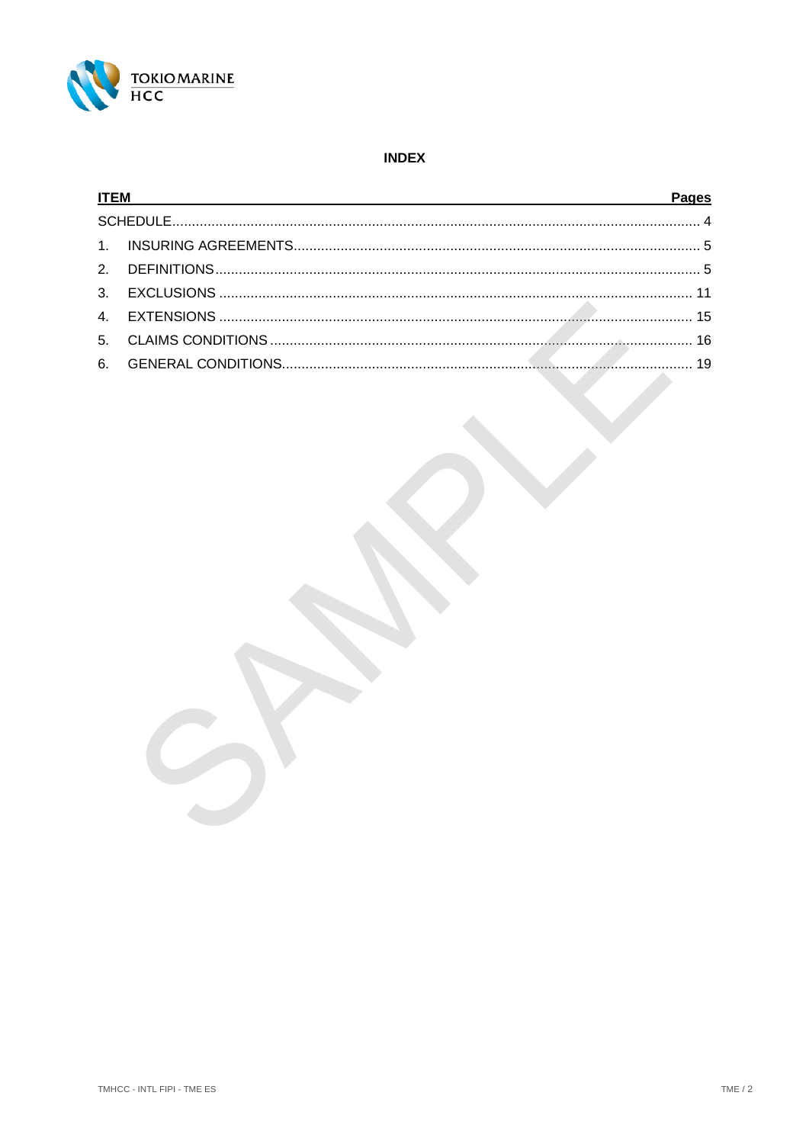

## **INDEX**

| <b>ITEM</b> |  | <b>Pages</b> |  |
|-------------|--|--------------|--|
|             |  |              |  |
|             |  |              |  |
|             |  |              |  |
|             |  |              |  |
|             |  |              |  |
|             |  |              |  |
|             |  |              |  |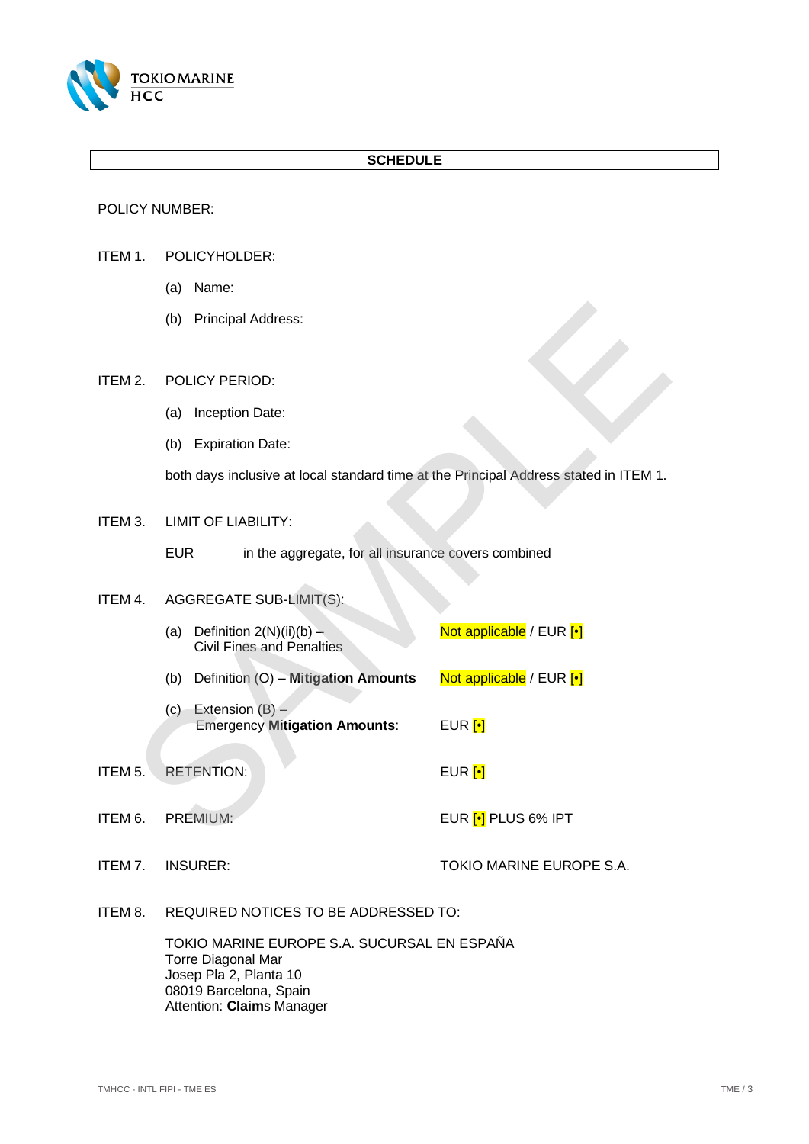

## **SCHEDULE**

POLICY NUMBER:

- <span id="page-2-0"></span>ITEM 1. POLICYHOLDER:
	- (a) Name:
	- (b) Principal Address:

<span id="page-2-8"></span><span id="page-2-7"></span><span id="page-2-5"></span>ITEM 2. POLICY PERIOD:

- (a) Inception Date:
- (b) Expiration Date:

<span id="page-2-2"></span>ITEM 3. LIMIT OF LIABILITY:

## <span id="page-2-9"></span><span id="page-2-4"></span><span id="page-2-3"></span>ITEM 4. AGGREGATE SUB-LIMIT(S):

<span id="page-2-11"></span>

|    | (b)<br><b>Principal Address:</b>                                                      |                            |
|----|---------------------------------------------------------------------------------------|----------------------------|
| 2. | POLICY PERIOD:                                                                        |                            |
|    | Inception Date:<br>(a)                                                                |                            |
|    | (b) Expiration Date:                                                                  |                            |
|    | both days inclusive at local standard time at the Principal Address stated in ITEM 1. |                            |
| 3. | <b>LIMIT OF LIABILITY:</b>                                                            |                            |
|    | <b>EUR</b><br>in the aggregate, for all insurance covers combined                     |                            |
| 4. | AGGREGATE SUB-LIMIT(S):                                                               |                            |
|    | Definition $2(N)(ii)(b) -$<br>(a)<br><b>Civil Fines and Penalties</b>                 | Not applicable / EUR [.]   |
|    | Definition (O) - Mitigation Amounts<br>(b)                                            | Not applicable / EUR [.]   |
|    | Extension $(B)$ –<br>(c)<br><b>Emergency Mitigation Amounts:</b>                      | EUR $[\cdot]$              |
| 5. | <b>RETENTION:</b>                                                                     | EUR $[\cdot]$              |
| 6. | <b>PREMIUM:</b>                                                                       | EUR <a>[.]</a> PLUS 6% IPT |

<span id="page-2-6"></span>ITEM 5. RETENTION: EUR [•]

<span id="page-2-1"></span>ITEM 6. PREMIUM: EUR [•] PLUS 6% IPT

ITEM 7. INSURER: TOKIO MARINE EUROPE S.A.

<span id="page-2-10"></span>ITEM 8. REQUIRED NOTICES TO BE ADDRESSED TO:

TOKIO MARINE EUROPE S.A. SUCURSAL EN ESPAÑA Torre Diagonal Mar Josep Pla 2, Planta 10 08019 Barcelona, Spain Attention: **Claim**s Manager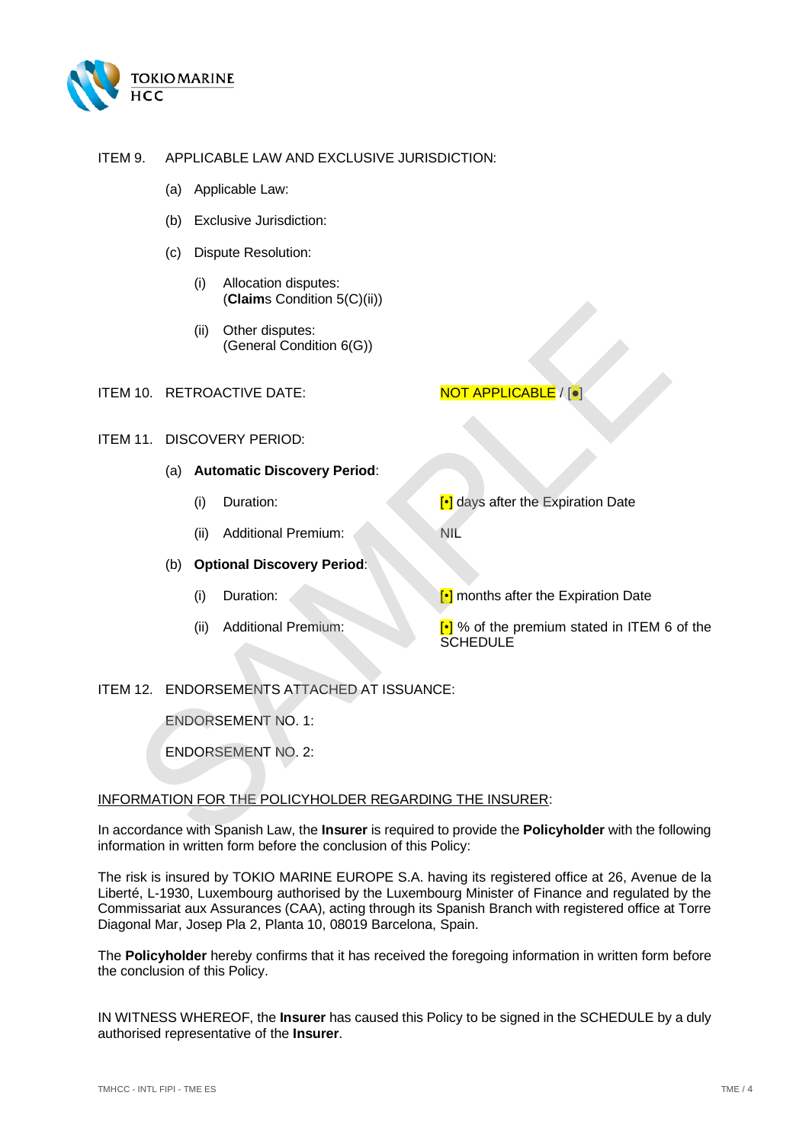

## <span id="page-3-4"></span><span id="page-3-3"></span>ITEM 9. APPLICABLE LAW AND EXCLUSIVE JURISDICTION:

- (a) Applicable Law:
- (b) Exclusive Jurisdiction:
- (c) Dispute Resolution:
	- (i) Allocation disputes: (**Claim**s Condition [5\(C\)\(ii\)\)](#page-17-0)
	- (ii) Other disputes: (General Condition 6(G))

#### <span id="page-3-2"></span>ITEM 10. RETROACTIVE DATE: NOT APPLICABLE / [●]

## <span id="page-3-0"></span>ITEM 11. DISCOVERY PERIOD:

## (a) **Automatic Discovery Period**:

- (i) Duration:  $\begin{bmatrix} \bullet \\ \bullet \end{bmatrix}$  days after the Expiration Date
- (ii) Additional Premium: NIL

<span id="page-3-1"></span>(b) **Optional Discovery Period**:

(i) Duration: **[•]** months after the Expiration Date

(ii) Additional Premium:  $\begin{bmatrix} \cdot \\ \cdot \end{bmatrix}$  % of the premium stated in ITEM 6 of the **SCHEDULE** 

## ITEM 12. ENDORSEMENTS ATTACHED AT ISSUANCE:

ENDORSEMENT NO. 1:

ENDORSEMENT NO. 2:

## INFORMATION FOR THE POLICYHOLDER REGARDING THE INSURER:

In accordance with Spanish Law, the **Insurer** is required to provide the **Policyholder** with the following information in written form before the conclusion of this Policy: (ii) Other disputes:<br>
(General Condition 6(G))<br>
10. RETROACTIVE DATE:<br>
(a) Automatic Discovery Period:<br>
(i) Duration:<br>
(ii) Additional Premium:<br>
(ii) Additional Premium:<br>
(ii) Additional Premium:<br>
(iii) Additional Premium

The risk is insured by TOKIO MARINE EUROPE S.A. having its registered office at 26, Avenue de la Liberté, L-1930, Luxembourg authorised by the Luxembourg Minister of Finance and regulated by the Commissariat aux Assurances (CAA), acting through its Spanish Branch with registered office at Torre Diagonal Mar, Josep Pla 2, Planta 10, 08019 Barcelona, Spain.

The **Policyholder** hereby confirms that it has received the foregoing information in written form before the conclusion of this Policy.

IN WITNESS WHEREOF, the **Insurer** has caused this Policy to be signed in the SCHEDULE by a duly authorised representative of the **Insurer**.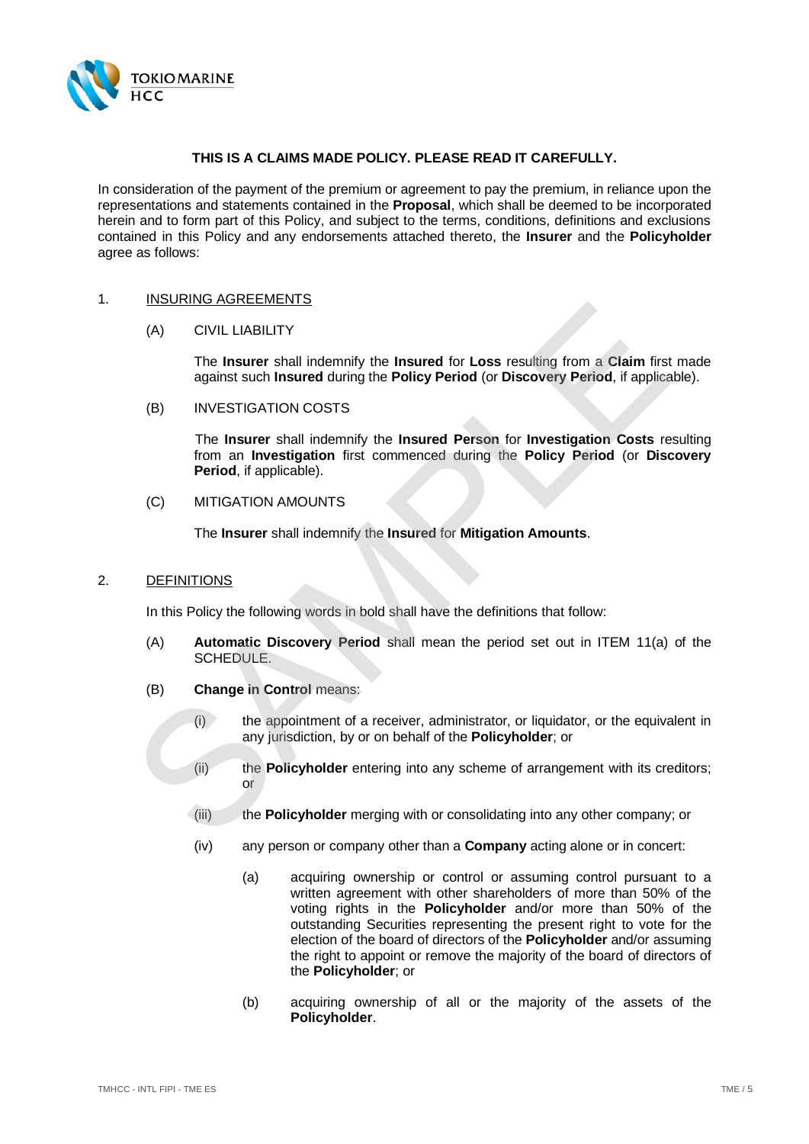

## **THIS IS A CLAIMS MADE POLICY. PLEASE READ IT CAREFULLY.**

In consideration of the payment of the premium or agreement to pay the premium, in reliance upon the representations and statements contained in the **Proposal**, which shall be deemed to be incorporated herein and to form part of this Policy, and subject to the terms, conditions, definitions and exclusions contained in this Policy and any endorsements attached thereto, the **Insurer** and the **Policyholder** agree as follows:

#### <span id="page-4-3"></span><span id="page-4-0"></span>1. INSURING AGREEMENTS

#### (A) CIVIL LIABILITY

The **Insurer** shall indemnify the **Insured** for **Loss** resulting from a **Claim** first made against such **Insured** during the **Policy Period** (or **Discovery Period**, if applicable).

<span id="page-4-2"></span>(B) INVESTIGATION COSTS

The **Insurer** shall indemnify the **Insured Person** for **Investigation Costs** resulting from an **Investigation** first commenced during the **Policy Period** (or **Discovery Period**, if applicable). (A) CIVIL LIABILITY<br>
The Insurer shall indemnify the Insured for Loss resulting from a Claim first<br>
against such Insured during the Policy Period (or Discovery Period, if applica<br>
(B) INVESTIGATION COSTS<br>
The Insurer shall

<span id="page-4-4"></span>(C) MITIGATION AMOUNTS

The **Insurer** shall indemnify the **Insured** for **Mitigation Amounts**.

#### <span id="page-4-1"></span>2. DEFINITIONS

In this Policy the following words in bold shall have the definitions that follow:

- (A) **Automatic Discovery Period** shall mean the period set out in ITEM 11(a) of the SCHEDULE.
- (B) **Change in Control** means:
	- $(i)$  the appointment of a receiver, administrator, or liquidator, or the equivalent in any jurisdiction, by or on behalf of the **Policyholder**; or
	- (ii) the **Policyholder** entering into any scheme of arrangement with its creditors; or
	- (iii) the **Policyholder** merging with or consolidating into any other company; or
	- (iv) any person or company other than a **Company** acting alone or in concert:
		- (a) acquiring ownership or control or assuming control pursuant to a written agreement with other shareholders of more than 50% of the voting rights in the **Policyholder** and/or more than 50% of the outstanding Securities representing the present right to vote for the election of the board of directors of the **Policyholder** and/or assuming the right to appoint or remove the majority of the board of directors of the **Policyholder**; or
		- (b) acquiring ownership of all or the majority of the assets of the **Policyholder**.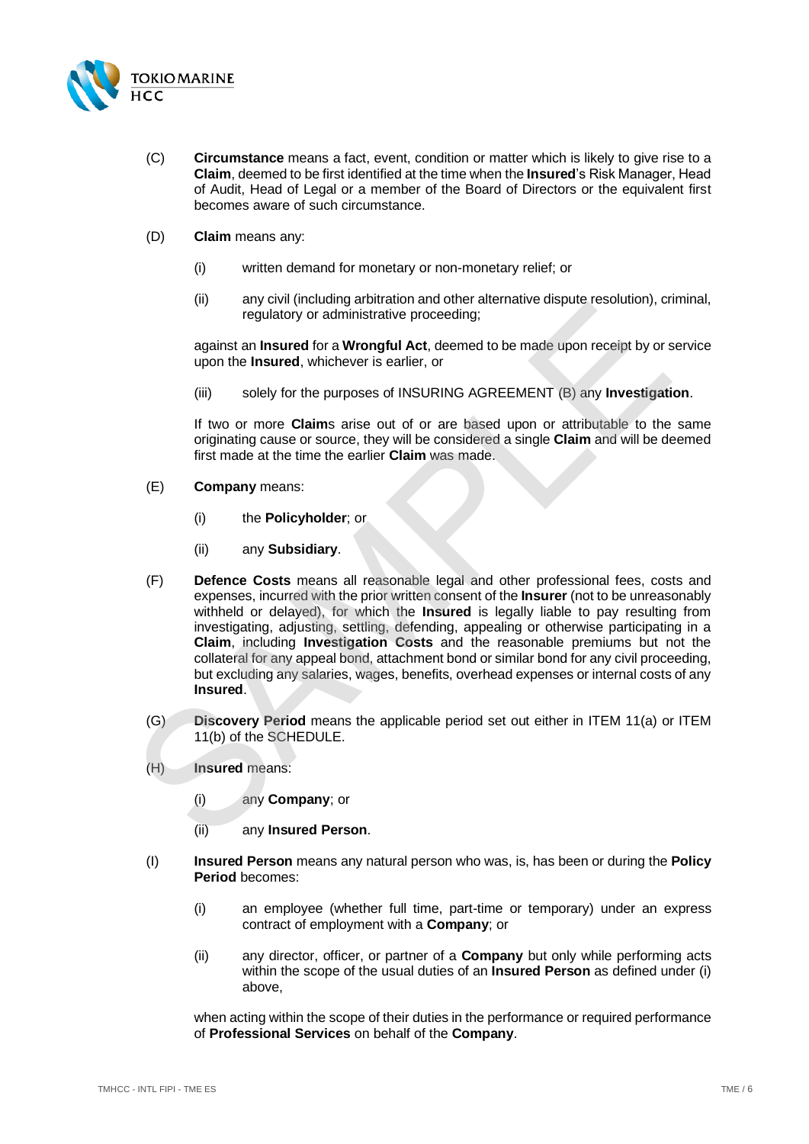

- (C) **Circumstance** means a fact, event, condition or matter which is likely to give rise to a **Claim**, deemed to be first identified at the time when the **Insured**'s Risk Manager, Head of Audit, Head of Legal or a member of the Board of Directors or the equivalent first becomes aware of such circumstance.
- (D) **Claim** means any:
	- (i) written demand for monetary or non-monetary relief; or
	- (ii) any civil (including arbitration and other alternative dispute resolution), criminal, regulatory or administrative proceeding;

against an **Insured** for a **Wrongful Act**, deemed to be made upon receipt by or service upon the **Insured**, whichever is earlier, or

(iii) solely for the purposes of INSURING AGREEMENT (B) any **Investigation**.

If two or more **Claim**s arise out of or are based upon or attributable to the same originating cause or source, they will be considered a single **Claim** and will be deemed first made at the time the earlier **Claim** was made.

- (E) **Company** means:
	- (i) the **Policyholder**; or
	- (ii) any **Subsidiary**.
- (F) **Defence Costs** means all reasonable legal and other professional fees, costs and expenses, incurred with the prior written consent of the **Insurer** (not to be unreasonably withheld or delayed), for which the **Insured** is legally liable to pay resulting from investigating, adjusting, settling, defending, appealing or otherwise participating in a **Claim**, including **Investigation Costs** and the reasonable premiums but not the collateral for any appeal bond, attachment bond or similar bond for any civil proceeding, but excluding any salaries, wages, benefits, overhead expenses or internal costs of any **Insured**. (ii)<br>
any wincluding anomal and or an experimentally estimate the production), correlated by or administrative proceeding:<br>
against an **Insured** for a **Wrongful Act**, deemed to be made upon receipt by or supon the **Insured** 
	- (G) **Discovery Period** means the applicable period set out either in ITEM 11(a) or [ITEM](#page-3-1)  11(b) of the SCHEDULE.
	- (H) **Insured** means:
		- (i) any **Company**; or
		- (ii) any **Insured Person**.
	- (I) **Insured Person** means any natural person who was, is, has been or during the **Policy Period** becomes:
		- (i) an employee (whether full time, part-time or temporary) under an express contract of employment with a **Company**; or
		- (ii) any director, officer, or partner of a **Company** but only while performing acts within the scope of the usual duties of an **Insured Person** as defined under [\(i\)](#page-5-0) above,

<span id="page-5-0"></span>when acting within the scope of their duties in the performance or required performance of **Professional Services** on behalf of the **Company**.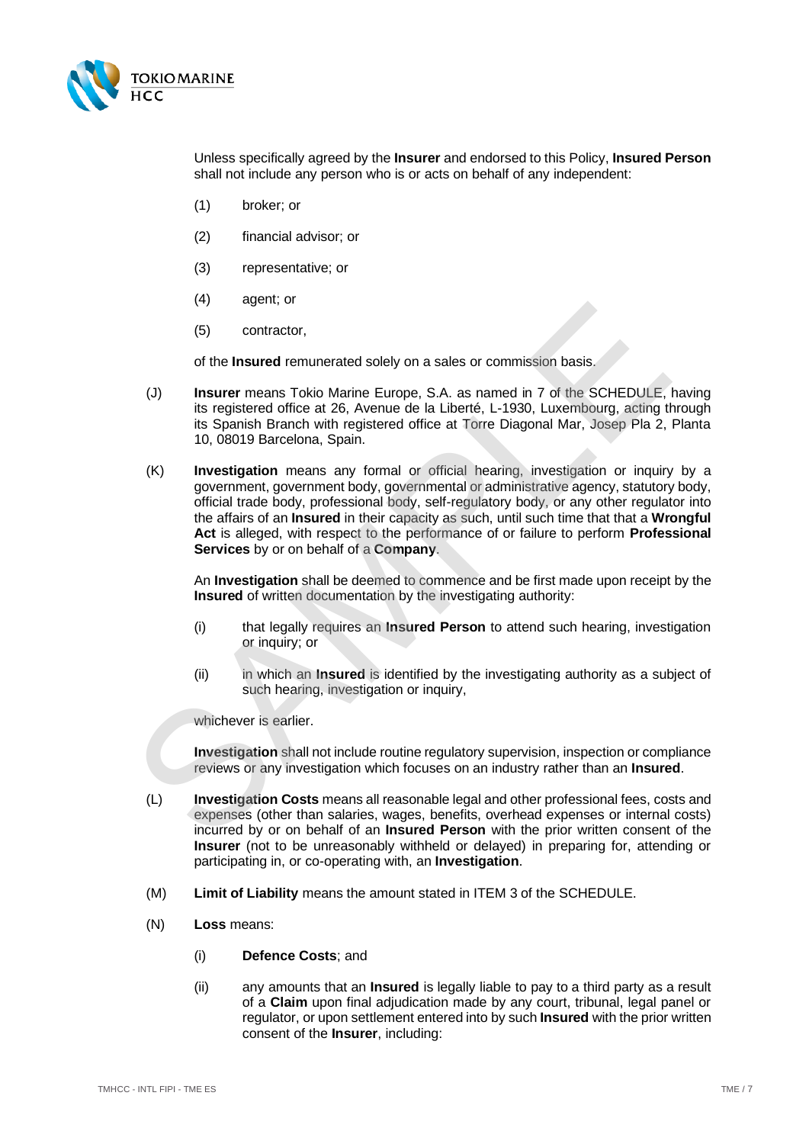

Unless specifically agreed by the **Insurer** and endorsed to this Policy, **Insured Person** shall not include any person who is or acts on behalf of any independent:

- (1) broker; or
- (2) financial advisor; or
- (3) representative; or
- (4) agent; or
- (5) contractor,

of the **Insured** remunerated solely on a sales or commission basis.

- (J) **Insurer** means Tokio Marine Europe, S.A. as named in 7 of the SCHEDULE, having its registered office at 26, Avenue de la Liberté, L-1930, Luxembourg, acting through its Spanish Branch with registered office at Torre Diagonal Mar, Josep Pla 2, Planta 10, 08019 Barcelona, Spain.
- (K) **Investigation** means any formal or official hearing, investigation or inquiry by a government, government body, governmental or administrative agency, statutory body, official trade body, professional body, self-regulatory body, or any other regulator into the affairs of an **Insured** in their capacity as such, until such time that that a **Wrongful Act** is alleged, with respect to the performance of or failure to perform **Professional Services** by or on behalf of a **Company**. (5) contractor,<br>
(5) contractor,<br>
(5) contractor,<br>
(6) contractor,<br>
(1) here were many rokio Marine Europe, S.A. as named in 7 of the SCHEDULE,<br>
its registered office at 26, Avenue de la Liberté, L-1930, Luxembourg, acting

An **Investigation** shall be deemed to commence and be first made upon receipt by the **Insured** of written documentation by the investigating authority:

- (i) that legally requires an **Insured Person** to attend such hearing, investigation or inquiry; or
- (ii) in which an **Insured** is identified by the investigating authority as a subject of such hearing, investigation or inquiry,

whichever is earlier.

**Investigation** shall not include routine regulatory supervision, inspection or compliance reviews or any investigation which focuses on an industry rather than an **Insured**.

- (L) **Investigation Costs** means all reasonable legal and other professional fees, costs and expenses (other than salaries, wages, benefits, overhead expenses or internal costs) incurred by or on behalf of an **Insured Person** with the prior written consent of the **Insurer** (not to be unreasonably withheld or delayed) in preparing for, attending or participating in, or co-operating with, an **Investigation**.
- (M) **Limit of Liability** means the amount stated i[n ITEM 3](#page-2-2) of the SCHEDULE.
- <span id="page-6-1"></span><span id="page-6-0"></span>(N) **Loss** means:
	- (i) **Defence Costs**; and
	- (ii) any amounts that an **Insured** is legally liable to pay to a third party as a result of a **Claim** upon final adjudication made by any court, tribunal, legal panel or regulator, or upon settlement entered into by such **Insured** with the prior written consent of the **Insurer**, including: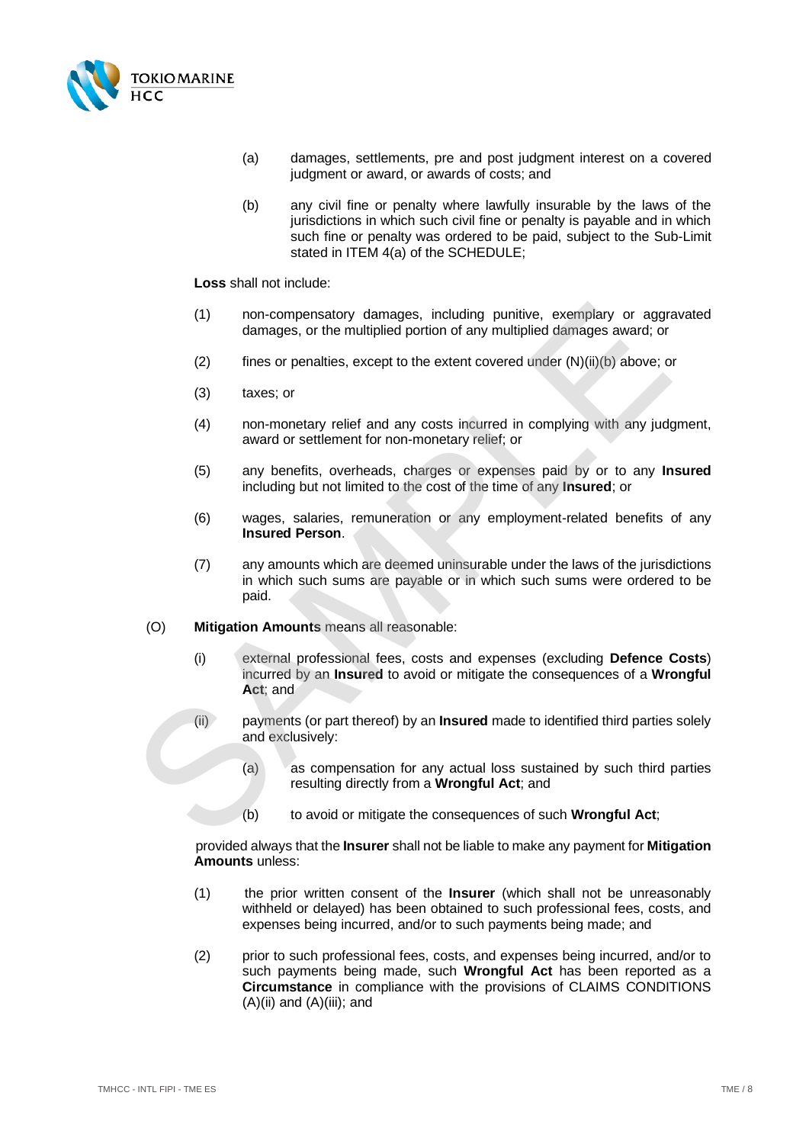

- (a) damages, settlements, pre and post judgment interest on a covered judgment or award, or awards of costs; and
- (b) any civil fine or penalty where lawfully insurable by the laws of the jurisdictions in which such civil fine or penalty is payable and in which such fine or penalty was ordered to be paid, subject to the Sub-Limit stated in [ITEM 4\(a\)](#page-2-3) of the SCHEDULE;

**Loss** shall not include:

- (1) non-compensatory damages, including punitive, exemplary or aggravated damages, or the multiplied portion of any multiplied damages award; or
- (2) fines or penalties, except to the extent covered under  $(N)(ii)(b)$  above; or
- (3) taxes; or
- (4) non-monetary relief and any costs incurred in complying with any judgment, award or settlement for non-monetary relief; or
- (5) any benefits, overheads, charges or expenses paid by or to any **Insured** including but not limited to the cost of the time of any **Insured**; or
- (6) wages, salaries, remuneration or any employment-related benefits of any **Insured Person**.
- (7) any amounts which are deemed uninsurable under the laws of the jurisdictions in which such sums are payable or in which such sums were ordered to be paid.
- <span id="page-7-1"></span>(O) **Mitigation Amounts** means all reasonable:
- <span id="page-7-0"></span>(i) external professional fees, costs and expenses (excluding **Defence Costs**) incurred by an **Insured** to avoid or mitigate the consequences of a **Wrongful Act**; and (1) non-compensatory damages, including punitive, exemplary or aggro damages, or the multiplied portion of any multiplied damages award; or (2) times or penalties, except to the extent covered under (N)(ii)(b) above; c) t
	- (ii) payments (or part thereof) by an **Insured** made to identified third parties solely and exclusively:
		- (a) as compensation for any actual loss sustained by such third parties resulting directly from a **Wrongful Act**; and
		- (b) to avoid or mitigate the consequences of such **Wrongful Act**;

provided always that the **Insurer** shall not be liable to make any payment for **Mitigation Amounts** unless:

- (1) the prior written consent of the **Insurer** (which shall not be unreasonably withheld or delayed) has been obtained to such professional fees, costs, and expenses being incurred, and/or to such payments being made; and
- (2) prior to such professional fees, costs, and expenses being incurred, and/or to such payments being made, such **Wrongful Act** has been reported as a **Circumstance** in compliance with the provisions of CLAIMS CONDITIONS  $(A)(ii)$  $(A)(ii)$  and  $(A)(iii)$ ; and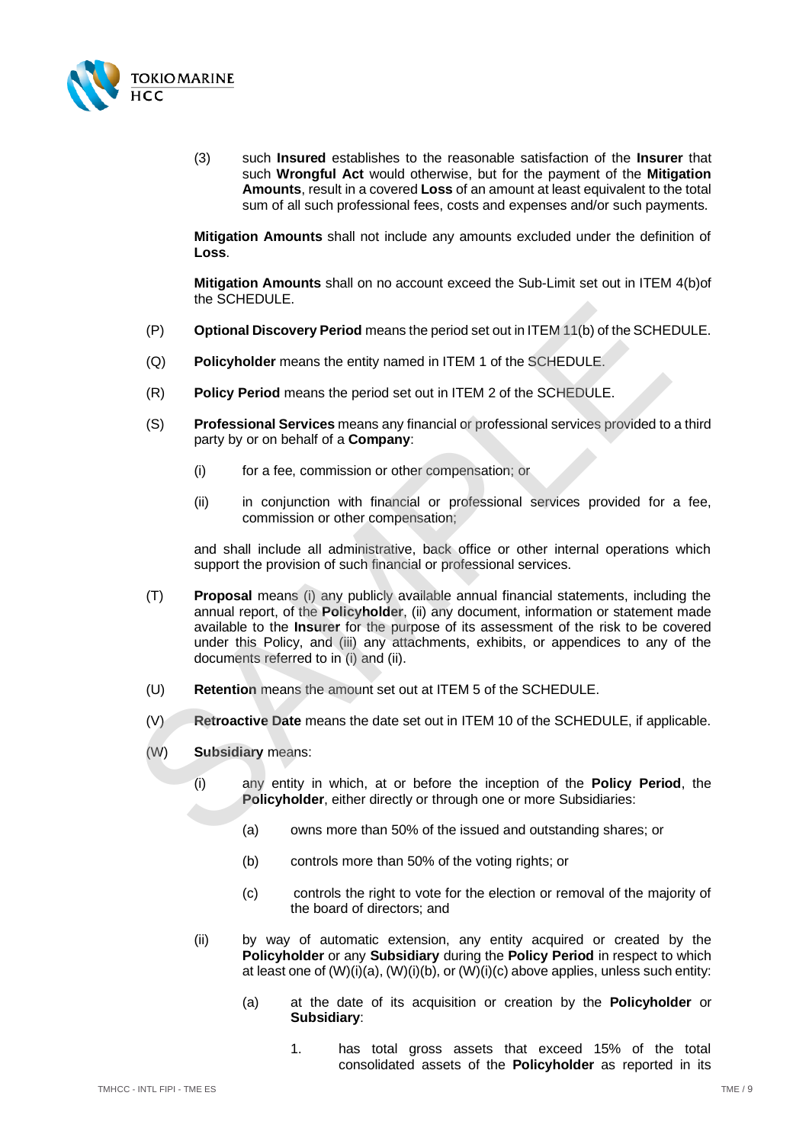

(3) such **Insured** establishes to the reasonable satisfaction of the **Insurer** that such **Wrongful Act** would otherwise, but for the payment of the **Mitigation Amounts**, result in a covered **Loss** of an amount at least equivalent to the total sum of all such professional fees, costs and expenses and/or such payments.

**Mitigation Amounts** shall not include any amounts excluded under the definition of **Loss**.

**Mitigation Amounts** shall on no account exceed the Sub-Limit set out in [ITEM 4\(b\)o](#page-2-4)f the SCHEDULE.

- (P) **Optional Discovery Period** means the period set out in ITEM 11(b) of the SCHEDULE.
- (Q) **Policyholder** means the entity named in ITEM 1 of the SCHEDULE.
- (R) **Policy Period** means the period set out in ITEM 2 of the SCHEDULE.
- (S) **Professional Services** means any financial or professional services provided to a third party by or on behalf of a **Company**:
	- (i) for a fee, commission or other compensation; or
	- (ii) in conjunction with financial or professional services provided for a fee, commission or other compensation;

<span id="page-8-7"></span><span id="page-8-6"></span><span id="page-8-5"></span><span id="page-8-4"></span><span id="page-8-3"></span><span id="page-8-2"></span><span id="page-8-1"></span><span id="page-8-0"></span>and shall include all administrative, back office or other internal operations which support the provision of such financial or professional services.

- (T) **Proposal** means (i) any publicly available annual financial statements, including the annual report, of the **Policyholder**, (ii) any document, information or statement made available to the **Insurer** for the purpose of its assessment of the risk to be covered under this Policy, and (iii) any attachments, exhibits, or appendices to any of the documents referred to in (i) and (ii). (P) **Optional Discovery Period** means the period set out in ITE[M](#page-2-6) 11(b) of the SCH[E](#page-3-1)<br>
(Q) **Policyholder** means the netity named in ITEM 1 of the SCHEDU[L](#page-2-5)E.<br>
(R) **Policy Period** means the period set out in ITEM 2 of the SCHEDU
	- (U) **Retention** means the amount set out at ITEM 5 of the SCHEDULE.
	- (V) **Retroactive Date** means the date set out in ITEM 10 of the SCHEDULE, if applicable.
	- (W) **Subsidiary** means:
		- (i) any entity in which, at or before the inception of the **Policy Period**, the **Policyholder**, either directly or through one or more Subsidiaries:
			- (a) owns more than 50% of the issued and outstanding shares; or
			- (b) controls more than 50% of the voting rights; or
			- (c) controls the right to vote for the election or removal of the majority of the board of directors; and
		- (ii) by way of automatic extension, any entity acquired or created by the **Policyholder** or any **Subsidiary** during the **Policy Period** in respect to which at least one o[f \(W\)](#page-8-0)[\(i\)](#page-8-1)[\(a\),](#page-8-2) [\(W\)](#page-8-0)[\(i\)](#page-8-1)[\(b\),](#page-8-3) o[r \(W\)](#page-8-0)[\(i\)](#page-8-1)[\(c\)](#page-8-4) above applies, unless such entity:
			- (a) at the date of its acquisition or creation by the **Policyholder** or **Subsidiary**:
				- 1. has total gross assets that exceed 15% of the total consolidated assets of the **Policyholder** as reported in its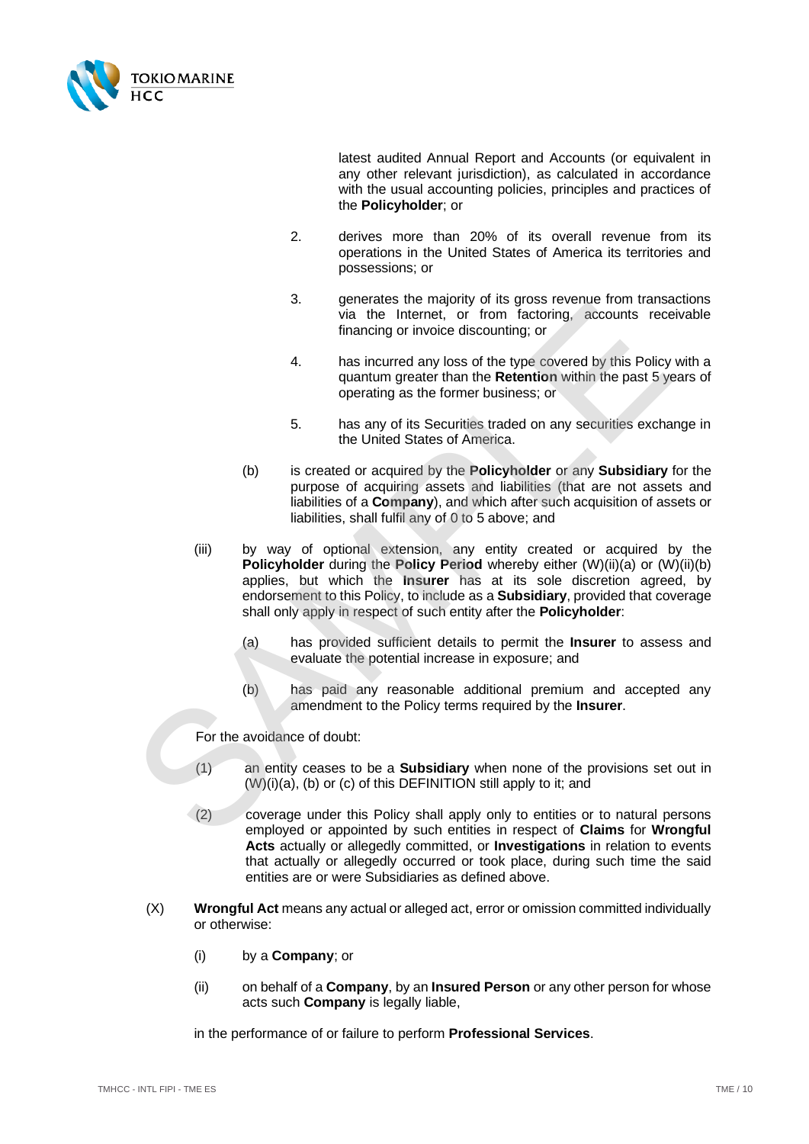

latest audited Annual Report and Accounts (or equivalent in any other relevant jurisdiction), as calculated in accordance with the usual accounting policies, principles and practices of the **Policyholder**; or

- 2. derives more than 20% of its overall revenue from its operations in the United States of America its territories and possessions; or
- 3. generates the majority of its gross revenue from transactions via the Internet, or from factoring, accounts receivable financing or invoice discounting; or
- 4. has incurred any loss of the type covered by this Policy with a quantum greater than the **Retention** within the past 5 years of operating as the former business; or
- 5. has any of its Securities traded on any securities exchange in the United States of America.
- <span id="page-9-1"></span>(b) is created or acquired by the **Policyholder** or any **Subsidiary** for the purpose of acquiring assets and liabilities (that are not assets and liabilities of a **Company**), and which after such acquisition of assets or liabilities, shall fulfil any of 0 to 5 above; and
- <span id="page-9-0"></span>(iii) by way of optional extension, any entity created or acquired by the **Policyholder** during the **Policy Period** whereby either (W)(ii)(a) or [\(W\)](#page-8-0)[\(ii\)](#page-8-6)[\(b\)](#page-9-1) applies, but which the **Insurer** has at its sole discretion agreed, by endorsement to this Policy, to include as a **Subsidiary**, provided that coverage shall only apply in respect of such entity after the **Policyholder**: 3. Were tracted the interest of the type of the interest.<br>
Was the line interest, or from factoring, accounts recession that the line of the single covered by this Policy<br>
quantum greater than the **Reterior** within the pas
	- (a) has provided sufficient details to permit the **Insurer** to assess and evaluate the potential increase in exposure; and
	- (b) has paid any reasonable additional premium and accepted any amendment to the Policy terms required by the **Insurer**.

For the avoidance of doubt:

- (1) an entity ceases to be a **Subsidiary** when none of the provisions set out in (W)(i)(a), (b) or (c) of this DEFINITION still apply to it; and
- (2) coverage under this Policy shall apply only to entities or to natural persons employed or appointed by such entities in respect of **Claims** for **Wrongful Acts** actually or allegedly committed, or **Investigations** in relation to events that actually or allegedly occurred or took place, during such time the said entities are or were Subsidiaries as defined above.
- (X) **Wrongful Act** means any actual or alleged act, error or omission committed individually or otherwise:
	- (i) by a **Company**; or
	- (ii) on behalf of a **Company**, by an **Insured Person** or any other person for whose acts such **Company** is legally liable,

in the performance of or failure to perform **Professional Services**.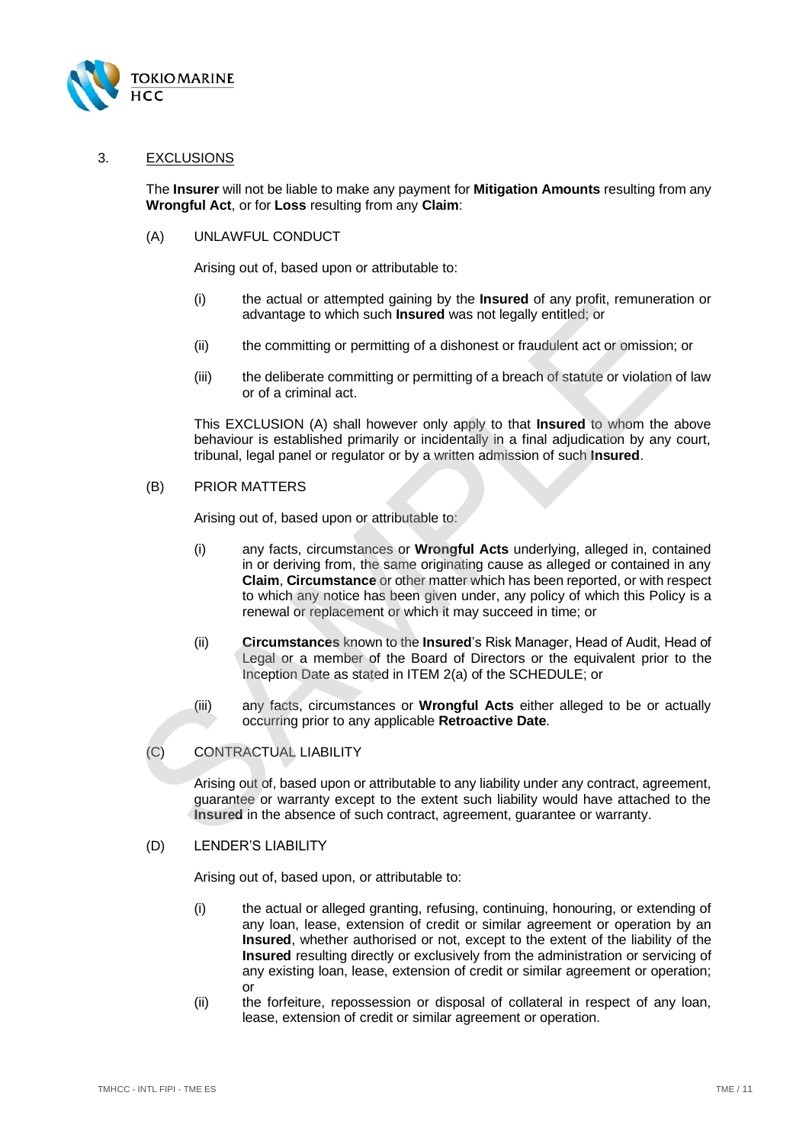

#### <span id="page-10-0"></span>3. EXCLUSIONS

The **Insurer** will not be liable to make any payment for **Mitigation Amounts** resulting from any **Wrongful Act**, or for **Loss** resulting from any **Claim**:

<span id="page-10-1"></span>(A) UNLAWFUL CONDUCT

Arising out of, based upon or attributable to:

- (i) the actual or attempted gaining by the **Insured** of any profit, remuneration or advantage to which such **Insured** was not legally entitled; or
- (ii) the committing or permitting of a dishonest or fraudulent act or omission; or
- (iii) the deliberate committing or permitting of a breach of statute or violation of law or of a criminal act.

This EXCLUSION (A) shall however only apply to that **Insured** to whom the above behaviour is established primarily or incidentally in a final adjudication by any court, tribunal, legal panel or regulator or by a written admission of such **Insured**.

<span id="page-10-2"></span>(B) PRIOR MATTERS

Arising out of, based upon or attributable to:

- (i) any facts, circumstances or **Wrongful Acts** underlying, alleged in, contained in or deriving from, the same originating cause as alleged or contained in any **Claim**, **Circumstance** or other matter which has been reported, or with respect to which any notice has been given under, any policy of which this Policy is a renewal or replacement or which it may succeed in time; or of a actual of any later spatial of galaxy of a state of a ratio of any priority of a contributed by the equivalent act or omission<br>(ii) the committing or permitting of a dishonest or fraudulent act or omission<br>(iii) the d
	- (ii) **Circumstances** known to the **Insured**'s Risk Manager, Head of Audit, Head of Legal or a member of the Board of Directors or the equivalent prior to the Inception Date as stated in ITEM 2(a) of the SCHEDULE; or
	- (iii) any facts, circumstances or **Wrongful Acts** either alleged to be or actually occurring prior to any applicable **Retroactive Date**.
	- (C) CONTRACTUAL LIABILITY

Arising out of, based upon or attributable to any liability under any contract, agreement, guarantee or warranty except to the extent such liability would have attached to the **Insured** in the absence of such contract, agreement, guarantee or warranty.

#### (D) LENDER'S LIABILITY

Arising out of, based upon, or attributable to:

- (i) the actual or alleged granting, refusing, continuing, honouring, or extending of any loan, lease, extension of credit or similar agreement or operation by an **Insured**, whether authorised or not, except to the extent of the liability of the **Insured** resulting directly or exclusively from the administration or servicing of any existing loan, lease, extension of credit or similar agreement or operation; or
- (ii) the forfeiture, repossession or disposal of collateral in respect of any loan, lease, extension of credit or similar agreement or operation.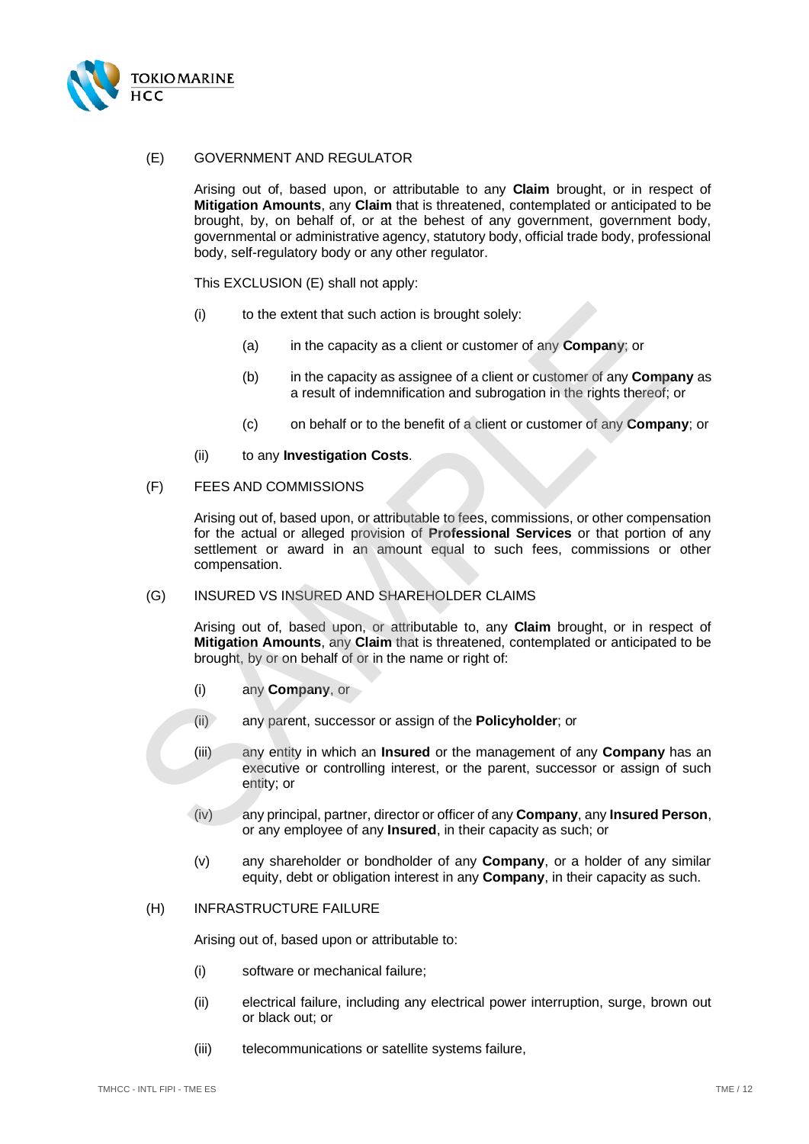

## <span id="page-11-0"></span>(E) GOVERNMENT AND REGULATOR

Arising out of, based upon, or attributable to any **Claim** brought, or in respect of **Mitigation Amounts**, any **Claim** that is threatened, contemplated or anticipated to be brought, by, on behalf of, or at the behest of any government, government body, governmental or administrative agency, statutory body, official trade body, professional body, self-regulatory body or any other regulator.

This EXCLUSION [\(E\)](#page-11-0) shall not apply:

- (i) to the extent that such action is brought solely:
	- (a) in the capacity as a client or customer of any **Company**; or
	- (b) in the capacity as assignee of a client or customer of any **Company** as a result of indemnification and subrogation in the rights thereof; or
	- (c) on behalf or to the benefit of a client or customer of any **Company**; or
- (ii) to any **Investigation Costs**.
- (F) FEES AND COMMISSIONS

Arising out of, based upon, or attributable to fees, commissions, or other compensation for the actual or alleged provision of **Professional Services** or that portion of any settlement or award in an amount equal to such fees, commissions or other compensation. (i) to the extent that such action is brought solely:<br>
(a) in the capacity as a client or customer of any **Company**; or<br>
(b) in the capacity as a sisigne of a client or customer of any **Compa**<br>
a result of indemnification

#### (G) INSURED VS INSURED AND SHAREHOLDER CLAIMS

Arising out of, based upon, or attributable to, any **Claim** brought, or in respect of **Mitigation Amounts**, any **Claim** that is threatened, contemplated or anticipated to be brought, by or on behalf of or in the name or right of:

- (i) any **Company**, or
- (ii) any parent, successor or assign of the **Policyholder**; or
- (iii) any entity in which an **Insured** or the management of any **Company** has an executive or controlling interest, or the parent, successor or assign of such entity; or
- (iv) any principal, partner, director or officer of any **Company**, any **Insured Person**, or any employee of any **Insured**, in their capacity as such; or
- (v) any shareholder or bondholder of any **Company**, or a holder of any similar equity, debt or obligation interest in any **Company**, in their capacity as such.

#### (H) INFRASTRUCTURE FAILURE

Arising out of, based upon or attributable to:

- (i) software or mechanical failure;
- (ii) electrical failure, including any electrical power interruption, surge, brown out or black out; or
- (iii) telecommunications or satellite systems failure,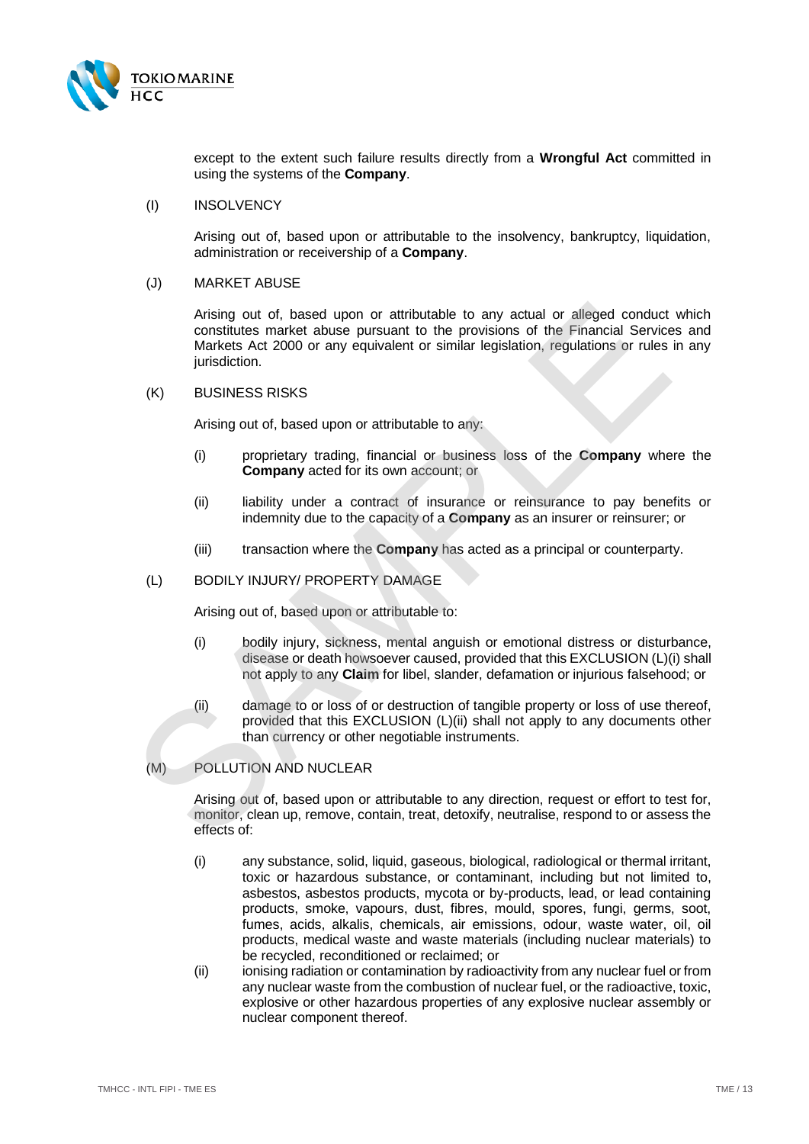

except to the extent such failure results directly from a **Wrongful Act** committed in using the systems of the **Company**.

#### (I) INSOLVENCY

Arising out of, based upon or attributable to the insolvency, bankruptcy, liquidation, administration or receivership of a **Company**.

#### (J) MARKET ABUSE

Arising out of, based upon or attributable to any actual or alleged conduct which constitutes market abuse pursuant to the provisions of the Financial Services and Markets Act 2000 or any equivalent or similar legislation, regulations or rules in any jurisdiction. Arising out of, based upon or attributable to any actual or alleged conduct<br>constitutes maket abuse pursuant to the provisions of the Financial Service<br>inrisdiction.<br>Makkets Act 2000 or any equivalent or similar legislatio

#### (K) BUSINESS RISKS

Arising out of, based upon or attributable to any:

- (i) proprietary trading, financial or business loss of the **Company** where the **Company** acted for its own account; or
- (ii) liability under a contract of insurance or reinsurance to pay benefits or indemnity due to the capacity of a **Company** as an insurer or reinsurer; or
- (iii) transaction where the **Company** has acted as a principal or counterparty.

#### <span id="page-12-1"></span><span id="page-12-0"></span>(L) BODILY INJURY/ PROPERTY DAMAGE

Arising out of, based upon or attributable to:

- (i) bodily injury, sickness, mental anguish or emotional distress or disturbance, disease or death howsoever caused, provided that this EXCLUSION (L[\)\(i\)](#page-12-1) shall not apply to any **Claim** for libel, slander, defamation or injurious falsehood; or
- (ii) damage to or loss of or destruction of tangible property or loss of use thereof, provided that this EXCLUSION (L)(ii) shall not apply to any documents other than currency or other negotiable instruments.

## <span id="page-12-2"></span>(M) POLLUTION AND NUCLEAR

Arising out of, based upon or attributable to any direction, request or effort to test for, monitor, clean up, remove, contain, treat, detoxify, neutralise, respond to or assess the effects of:

- (i) any substance, solid, liquid, gaseous, biological, radiological or thermal irritant, toxic or hazardous substance, or contaminant, including but not limited to, asbestos, asbestos products, mycota or by-products, lead, or lead containing products, smoke, vapours, dust, fibres, mould, spores, fungi, germs, soot, fumes, acids, alkalis, chemicals, air emissions, odour, waste water, oil, oil products, medical waste and waste materials (including nuclear materials) to be recycled, reconditioned or reclaimed; or
- (ii) ionising radiation or contamination by radioactivity from any nuclear fuel or from any nuclear waste from the combustion of nuclear fuel, or the radioactive, toxic, explosive or other hazardous properties of any explosive nuclear assembly or nuclear component thereof.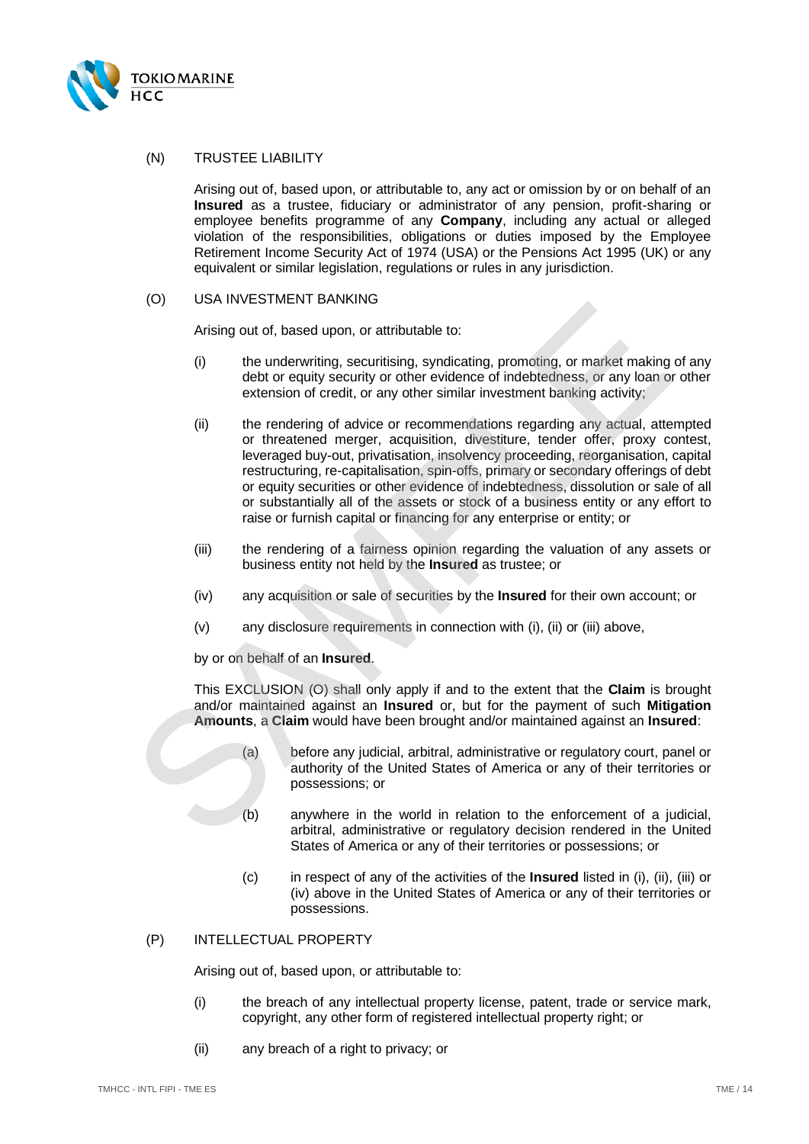

#### (N) TRUSTEE LIABILITY

Arising out of, based upon, or attributable to, any act or omission by or on behalf of an **Insured** as a trustee, fiduciary or administrator of any pension, profit-sharing or employee benefits programme of any **Company**, including any actual or alleged violation of the responsibilities, obligations or duties imposed by the Employee Retirement Income Security Act of 1974 (USA) or the Pensions Act 1995 (UK) or any equivalent or similar legislation, regulations or rules in any jurisdiction.

## (O) USA INVESTMENT BANKING

Arising out of, based upon, or attributable to:

- <span id="page-13-1"></span>(i) the underwriting, securitising, syndicating, promoting, or market making of any debt or equity security or other evidence of indebtedness, or any loan or other extension of credit, or any other similar investment banking activity;
- <span id="page-13-3"></span><span id="page-13-0"></span>(ii) the rendering of advice or recommendations regarding any actual, attempted or threatened merger, acquisition, divestiture, tender offer, proxy contest, leveraged buy-out, privatisation, insolvency proceeding, reorganisation, capital restructuring, re-capitalisation, spin-offs, primary or secondary offerings of debt or equity securities or other evidence of indebtedness, dissolution or sale of all or substantially all of the assets or stock of a business entity or any effort to raise or furnish capital or financing for any enterprise or entity; or (b)<br>
(c) the underwriter BANKINGS<br>
(i) the underwriter, securitisting, syndicating, promoting, or market making<br>
(debt or equity security or other evidence of indebtedness, or any loan o<br>
extension of credit, or any other
	- (iii) the rendering of a fairness opinion regarding the valuation of any assets or business entity not held by the **Insured** as trustee; or
	- (iv) any acquisition or sale of securities by the **Insured** for their own account; or
	- (v) any disclosure requirements in connection with (i), (ii) or (iii) above,

<span id="page-13-4"></span><span id="page-13-2"></span>by or on behalf of an **Insured**.

This EXCLUSION (O) shall only apply if and to the extent that the **Claim** is brought and/or maintained against an **Insured** or, but for the payment of such **Mitigation Amounts**, a **Claim** would have been brought and/or maintained against an **Insured**:

- (a) before any judicial, arbitral, administrative or regulatory court, panel or authority of the United States of America or any of their territories or possessions; or
- (b) anywhere in the world in relation to the enforcement of a judicial, arbitral, administrative or regulatory decision rendered in the United States of America or any of their territories or possessions; or
- (c) in respect of any of the activities of the **Insured** listed in [\(i\),](#page-13-0) [\(ii\),](#page-13-1) [\(iii\)](#page-13-2) or [\(iv\)](#page-13-4) above in the United States of America or any of their territories or possessions.

#### (P) INTELLECTUAL PROPERTY

Arising out of, based upon, or attributable to:

- (i) the breach of any intellectual property license, patent, trade or service mark, copyright, any other form of registered intellectual property right; or
- (ii) any breach of a right to privacy; or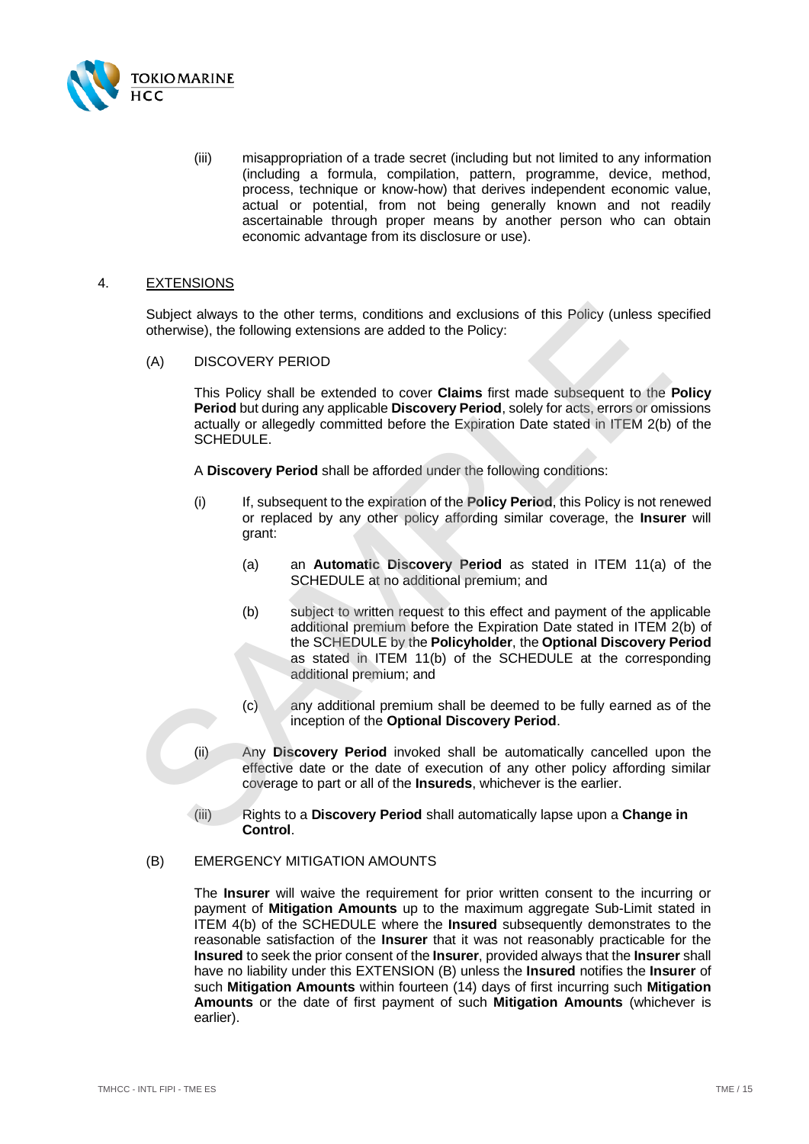

(iii) misappropriation of a trade secret (including but not limited to any information (including a formula, compilation, pattern, programme, device, method, process, technique or know-how) that derives independent economic value, actual or potential, from not being generally known and not readily ascertainable through proper means by another person who can obtain economic advantage from its disclosure or use).

#### <span id="page-14-0"></span>4. EXTENSIONS

Subject always to the other terms, conditions and exclusions of this Policy (unless specified otherwise), the following extensions are added to the Policy:

<span id="page-14-2"></span>(A) DISCOVERY PERIOD

This Policy shall be extended to cover **Claims** first made subsequent to the **Policy Period** but during any applicable **Discovery Period**, solely for acts, errors or omissions actually or allegedly committed before the Expiration Date stated in ITEM 2(b) of the SCHEDULE.

A **Discovery Period** shall be afforded under the following conditions:

- (i) If, subsequent to the expiration of the **Policy Period**, this Policy is not renewed or replaced by any other policy affording similar coverage, the **Insurer** will grant:
	- (a) an **Automatic Discovery Period** as stated in ITEM 11(a) of the SCHEDULE at no additional premium; and
- (b) subject to written request to this effect and payment of the applicable additional premium before the Expiration Date stated in [ITEM 2\(b\)](#page-2-8) of the SCHEDULE by the **Policyholder**, the **Optional Discovery Period** as stated in ITEM 11(b) of the SCHEDULE at the corresponding additional premium; and Subject always to the other terms, conditions and exclusions of this Policy (unless sp<br>otherwise), the following extensions are added to the Policy:<br>
(A) DISCOV[E](#page-2-8)RY PERIOD<br>
This Policy shall be extended to cover Claims firs
	- (c) any additional premium shall be deemed to be fully earned as of the inception of the **Optional Discovery Period**.
	- (ii) Any **Discovery Period** invoked shall be automatically cancelled upon the effective date or the date of execution of any other policy affording similar coverage to part or all of the **Insureds**, whichever is the earlier.
	- (iii) Rights to a **Discovery Period** shall automatically lapse upon a **Change in Control**.

#### <span id="page-14-1"></span>(B) EMERGENCY MITIGATION AMOUNTS

The **Insurer** will waive the requirement for prior written consent to the incurring or payment of **Mitigation Amounts** up to the maximum aggregate Sub-Limit stated in [ITEM 4\(](#page-2-9)b) of the SCHEDULE where the **Insured** subsequently demonstrates to the reasonable satisfaction of the **Insurer** that it was not reasonably practicable for the **Insured** to seek the prior consent of the **Insurer**, provided always that the **Insurer** shall have no liability under this EXTENSION [\(B\)](#page-14-1) unless the **Insured** notifies the **Insurer** of such **Mitigation Amounts** within fourteen (14) days of first incurring such **Mitigation Amounts** or the date of first payment of such **Mitigation Amounts** (whichever is earlier).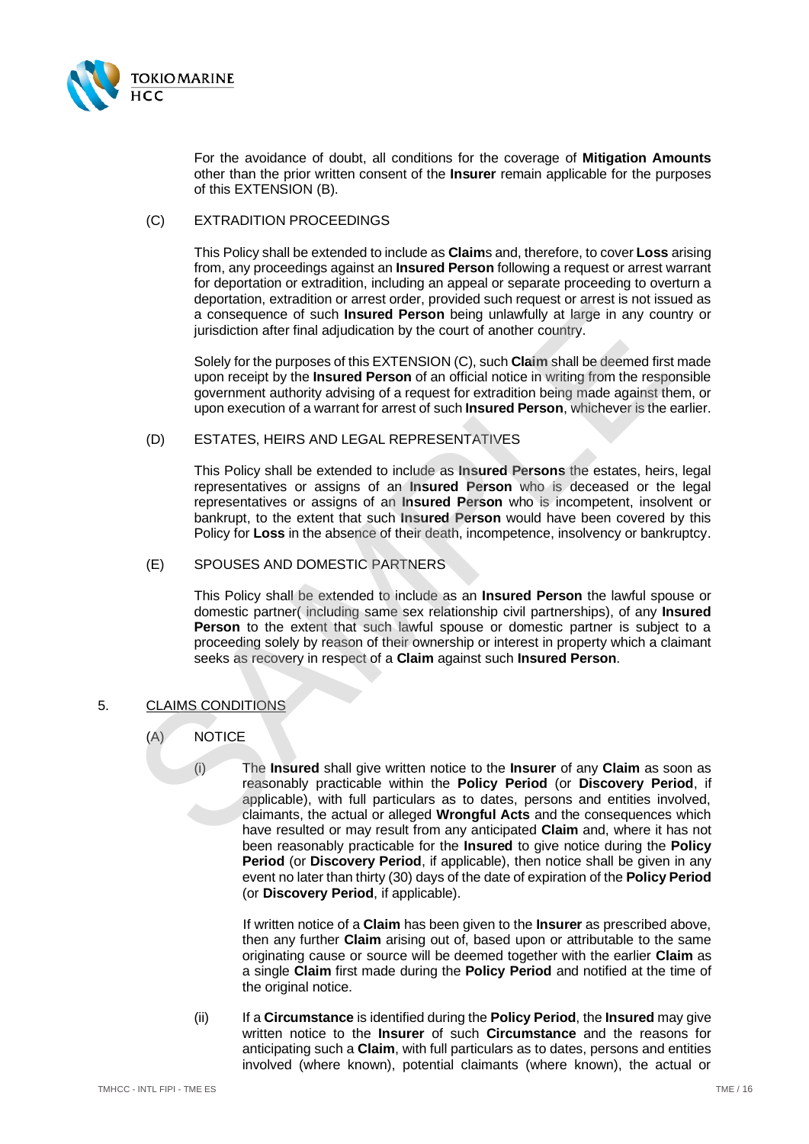

For the avoidance of doubt, all conditions for the coverage of **Mitigation Amounts** other than the prior written consent of the **Insurer** remain applicable for the purposes of this EXTENSION [\(B\).](#page-14-1)

## <span id="page-15-3"></span>(C) EXTRADITION PROCEEDINGS

This Policy shall be extended to include as **Claim**s and, therefore, to cover **Loss** arising from, any proceedings against an **Insured Person** following a request or arrest warrant for deportation or extradition, including an appeal or separate proceeding to overturn a deportation, extradition or arrest order, provided such request or arrest is not issued as a consequence of such **Insured Person** being unlawfully at large in any country or jurisdiction after final adjudication by the court of another country.

Solely for the purposes of this EXTENSION (C), such **Claim** shall be deemed first made upon receipt by the **Insured Person** of an official notice in writing from the responsible government authority advising of a request for extradition being made against them, or upon execution of a warrant for arrest of such **Insured Person**, whichever is the earlier.

#### <span id="page-15-4"></span>(D) ESTATES, HEIRS AND LEGAL REPRESENTATIVES

This Policy shall be extended to include as **Insured Persons** the estates, heirs, legal representatives or assigns of an **Insured Person** who is deceased or the legal representatives or assigns of an **Insured Person** who is incompetent, insolvent or bankrupt, to the extent that such **Insured Person** would have been covered by this Policy for **Loss** in the absence of their death, incompetence, insolvency or bankruptcy.

## <span id="page-15-5"></span>(E) SPOUSES AND DOMESTIC PARTNERS

This Policy shall be extended to include as an **Insured Person** the lawful spouse or domestic partner( including same sex relationship civil partnerships), of any **Insured Person** to the extent that such lawful spouse or domestic partner is subject to a proceeding solely by reason of their ownership or interest in property which a claimant seeks as recovery in respect of a **Claim** against such **Insured Person**.

#### <span id="page-15-1"></span><span id="page-15-0"></span>5. CLAIMS CONDITIONS

(A) NOTICE

(i) The **Insured** shall give written notice to the **Insurer** of any **Claim** as soon as reasonably practicable within the **Policy Period** (or **Discovery Period**, if applicable), with full particulars as to dates, persons and entities involved, claimants, the actual or alleged **Wrongful Acts** and the consequences which have resulted or may result from any anticipated **Claim** and, where it has not been reasonably practicable for the **Insured** to give notice during the **Policy Period** (or **Discovery Period**, if applicable), then notice shall be given in any event no later than thirty (30) days of the date of expiration of the **Policy Period** (or **Discovery Period**, if applicable). depoted of such a marked to the proof of the matter of the matter of the same is the same of the proof of the same of the same of the same of the same of the proof of the same of the same of the same of the same of the sam

> If written notice of a **Claim** has been given to the **Insurer** as prescribed above, then any further **Claim** arising out of, based upon or attributable to the same originating cause or source will be deemed together with the earlier **Claim** as a single **Claim** first made during the **Policy Period** and notified at the time of the original notice.

<span id="page-15-2"></span>(ii) If a **Circumstance** is identified during the **Policy Period**, the **Insured** may give written notice to the **Insurer** of such **Circumstance** and the reasons for anticipating such a **Claim**, with full particulars as to dates, persons and entities involved (where known), potential claimants (where known), the actual or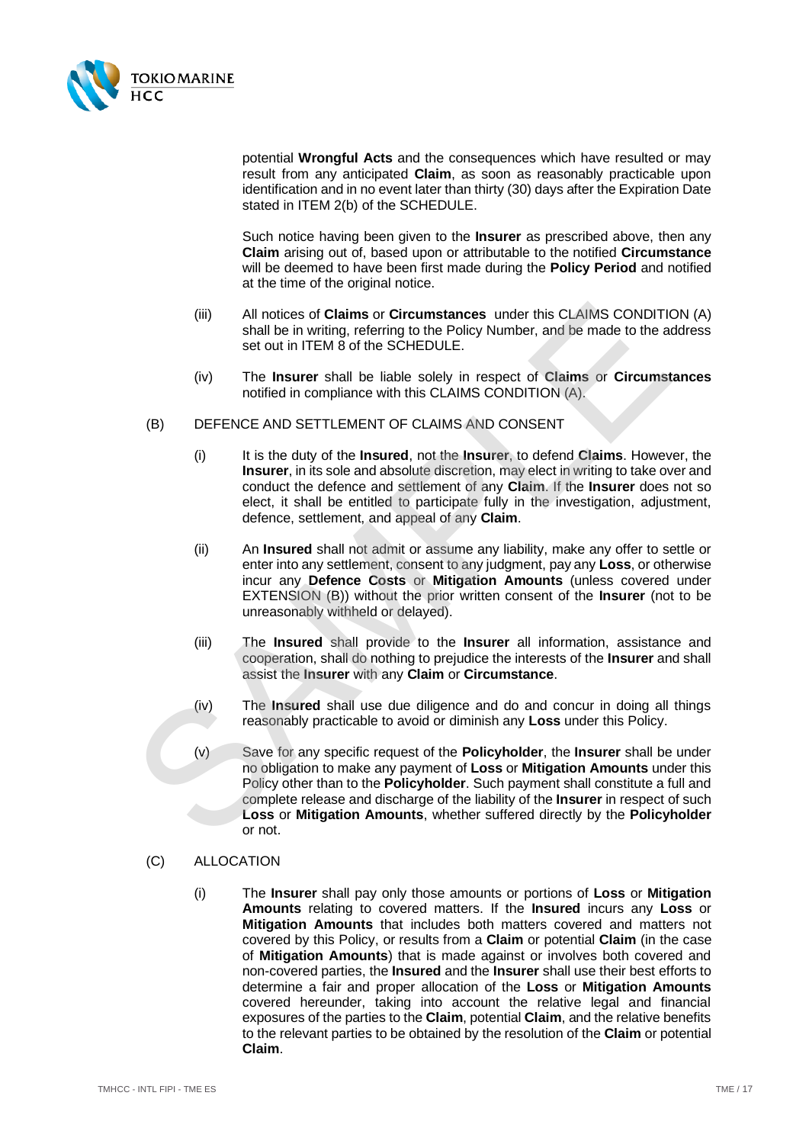

potential **Wrongful Acts** and the consequences which have resulted or may result from any anticipated **Claim**, as soon as reasonably practicable upon identification and in no event later than thirty (30) days after the Expiration Date stated in [ITEM 2\(b\)](#page-2-8) of the SCHEDULE.

Such notice having been given to the **Insurer** as prescribed above, then any **Claim** arising out of, based upon or attributable to the notified **Circumstance** will be deemed to have been first made during the **Policy Period** and notified at the time of the original notice.

- (iii) All notices of **Claims** or **Circumstances** under this CLAIMS CONDITION [\(A\)](#page-15-1) shall be in writing, referring to the Policy Number, and be made to the address set out in ITEM 8 of the SCHEDULE.
- (iv) The **Insurer** shall be liable solely in respect of **Claims** or **Circumstances** notified in compliance with this CLAIMS CONDITION (A).
- <span id="page-16-1"></span>(B) DEFENCE AND SETTLEMENT OF CLAIMS AND CONSENT
	- (i) It is the duty of the **Insured**, not the **Insurer**, to defend **Claims**. However, the **Insurer**, in its sole and absolute discretion, may elect in writing to take over and conduct the defence and settlement of any **Claim**. If the **Insurer** does not so elect, it shall be entitled to participate fully in the investigation, adjustment, defence, settlement, and appeal of any **Claim**.
	- (ii) An **Insured** shall not admit or assume any liability, make any offer to settle or enter into any settlement, consent to any judgment, pay any **Loss**, or otherwise incur any **Defence Costs** or **Mitigation Amounts** (unless covered under EXTENSION (B)) without the prior written consent of the **Insurer** (not to be unreasonably withheld or delayed).
	- (iii) The **Insured** shall provide to the **Insurer** all information, assistance and cooperation, shall do nothing to prejudice the interests of the **Insurer** and shall assist the **Insurer** with any **Claim** or **Circumstance**.
	- (iv) The **Insured** shall use due diligence and do and concur in doing all things reasonably practicable to avoid or diminish any **Loss** under this Policy.
- <span id="page-16-0"></span>(v) Save for any specific request of the **Policyholder**, the **Insurer** shall be under no obligation to make any payment of **Loss** or **Mitigation Amounts** under this Policy other than to the **Policyholder**. Such payment shall constitute a full and complete release and discharge of the liability of the **Insurer** in respect of such **Loss** or **Mitigation Amounts**, whether suffered directly by the **Policyholder** or not. (iii) All notices of **Claims** or **Circumstances** under this CLAI[M](#page-14-1)S CONDITIT<br>
shall be in writing, referring to the Policy Number, and be made to the a<br>
set out in ITEM 8 of the SCHEOU[LE](#page-15-1).<br>
(iv) The **Insurer** shall be liable
	- (C) ALLOCATION
		- (i) The **Insurer** shall pay only those amounts or portions of **Loss** or **Mitigation Amounts** relating to covered matters. If the **Insured** incurs any **Loss** or **Mitigation Amounts** that includes both matters covered and matters not covered by this Policy, or results from a **Claim** or potential **Claim** (in the case of **Mitigation Amounts**) that is made against or involves both covered and non-covered parties, the **Insured** and the **Insurer** shall use their best efforts to determine a fair and proper allocation of the **Loss** or **Mitigation Amounts** covered hereunder, taking into account the relative legal and financial exposures of the parties to the **Claim**, potential **Claim**, and the relative benefits to the relevant parties to be obtained by the resolution of the **Claim** or potential **Claim**.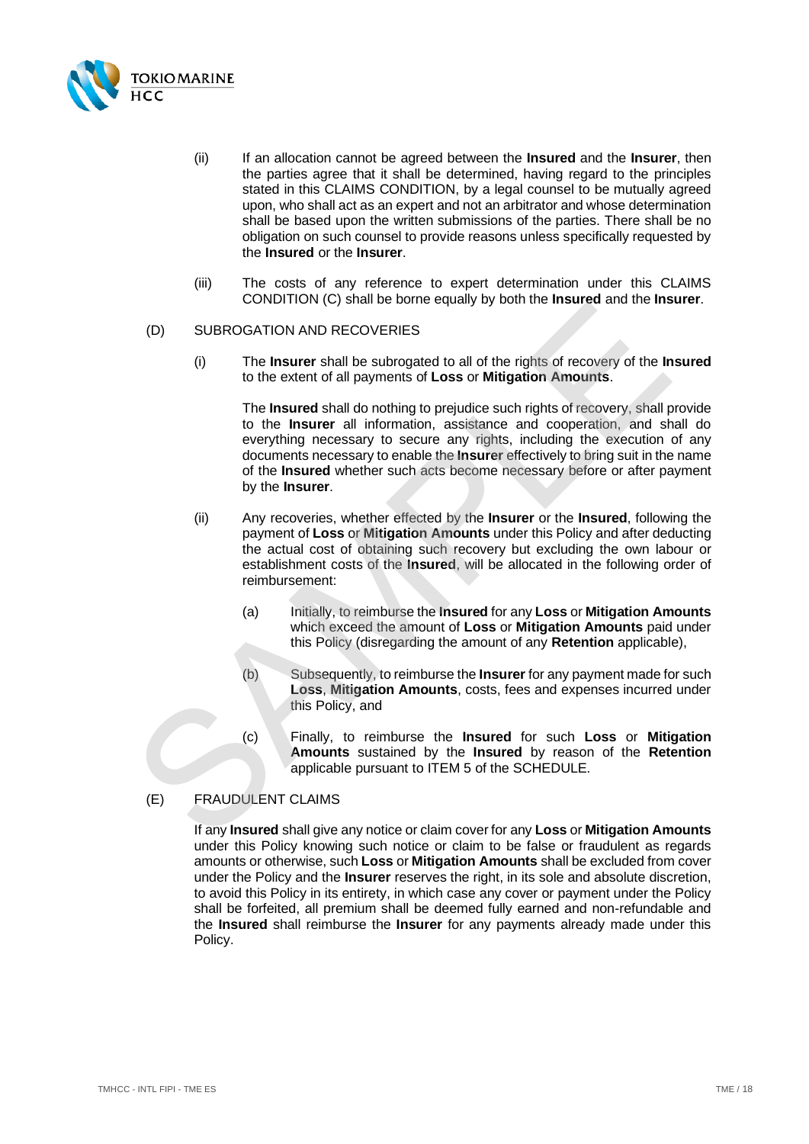

- <span id="page-17-0"></span>(ii) If an allocation cannot be agreed between the **Insured** and the **Insurer**, then the parties agree that it shall be determined, having regard to the principles stated in this CLAIMS CONDITION, by a legal counsel to be mutually agreed upon, who shall act as an expert and not an arbitrator and whose determination shall be based upon the written submissions of the parties. There shall be no obligation on such counsel to provide reasons unless specifically requested by the **Insured** or the **Insurer**.
- (iii) The costs of any reference to expert determination under this CLAIMS CONDITION [\(C\)](#page-16-1) shall be borne equally by both the **Insured** and the **Insurer**.

#### (D) SUBROGATION AND RECOVERIES

(i) The **Insurer** shall be subrogated to all of the rights of recovery of the **Insured** to the extent of all payments of **Loss** or **Mitigation Amounts**.

The **Insured** shall do nothing to prejudice such rights of recovery, shall provide to the **Insurer** all information, assistance and cooperation, and shall do everything necessary to secure any rights, including the execution of any documents necessary to enable the **Insurer** effectively to bring suit in the name of the **Insured** whether such acts become necessary before or after payment by the **Insurer**. CONDITION (c) stantide bother equality by both the instanted and the instanted (f)<br>
The insurer shall be subropated to all of the rights of recovery of the In<br>
to the extent of all payments of Loss or Mitigation Amounts.<br>

- (ii) Any recoveries, whether effected by the **Insurer** or the **Insured**, following the payment of **Loss** or **Mitigation Amounts** under this Policy and after deducting the actual cost of obtaining such recovery but excluding the own labour or establishment costs of the **Insured**, will be allocated in the following order of reimbursement:
	- (a) Initially, to reimburse the **Insured** for any **Loss** or **Mitigation Amounts** which exceed the amount of **Loss** or **Mitigation Amounts** paid under this Policy (disregarding the amount of any **Retention** applicable),
	- (b) Subsequently, to reimburse the **Insurer** for any payment made for such **Loss**, **Mitigation Amounts**, costs, fees and expenses incurred under this Policy, and
	- (c) Finally, to reimburse the **Insured** for such **Loss** or **Mitigation Amounts** sustained by the **Insured** by reason of the **Retention** applicable pursuant to ITEM 5 of the SCHEDULE.

## (E) FRAUDULENT CLAIMS

If any **Insured** shall give any notice or claim cover for any **Loss** or **Mitigation Amounts** under this Policy knowing such notice or claim to be false or fraudulent as regards amounts or otherwise, such **Loss** or **Mitigation Amounts** shall be excluded from cover under the Policy and the **Insurer** reserves the right, in its sole and absolute discretion, to avoid this Policy in its entirety, in which case any cover or payment under the Policy shall be forfeited, all premium shall be deemed fully earned and non-refundable and the **Insured** shall reimburse the **Insurer** for any payments already made under this Policy.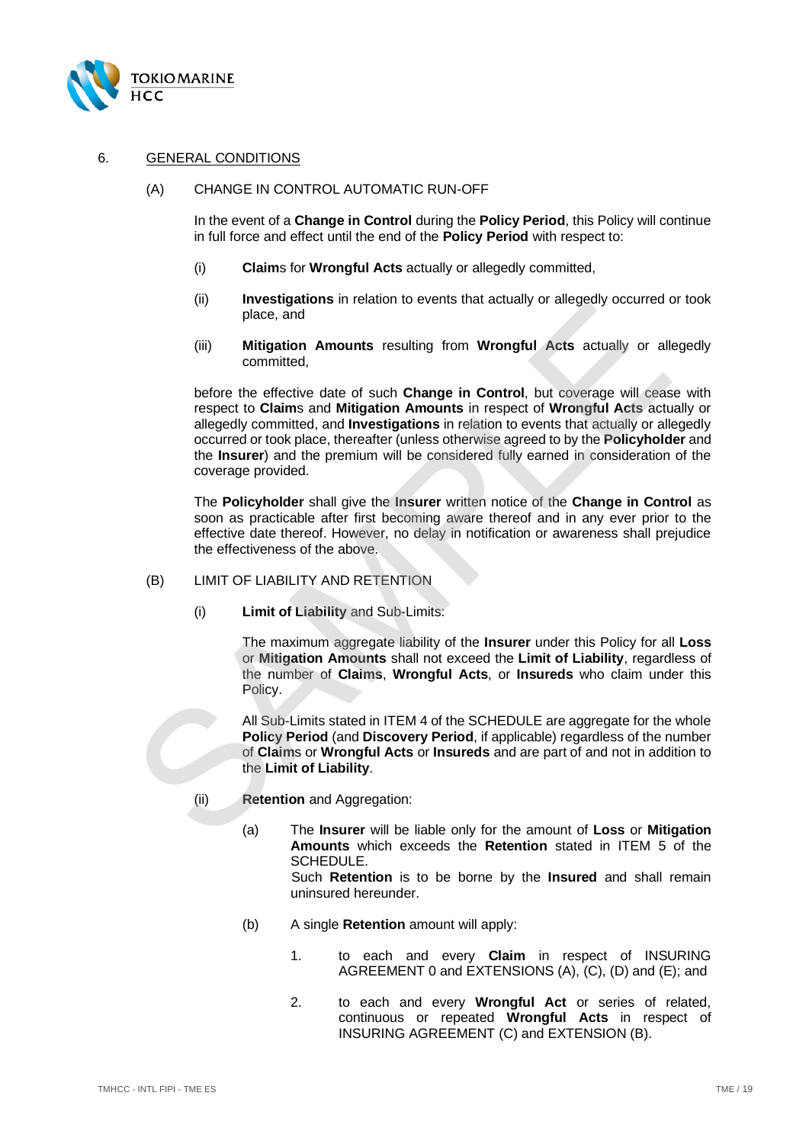

## <span id="page-18-0"></span>6. GENERAL CONDITIONS

(A) CHANGE IN CONTROL AUTOMATIC RUN-OFF

In the event of a **Change in Control** during the **Policy Period**, this Policy will continue in full force and effect until the end of the **Policy Period** with respect to:

- (i) **Claim**s for **Wrongful Acts** actually or allegedly committed,
- (ii) **Investigations** in relation to events that actually or allegedly occurred or took place, and
- (iii) **Mitigation Amounts** resulting from **Wrongful Acts** actually or allegedly committed,

before the effective date of such **Change in Control**, but coverage will cease with respect to **Claim**s and **Mitigation Amounts** in respect of **Wrongful Acts** actually or allegedly committed, and **Investigations** in relation to events that actually or allegedly occurred or took place, thereafter (unless otherwise agreed to by the **Policyholder** and the **Insurer**) and the premium will be considered fully earned in consideration of the coverage provided. microsymptom Initialiation of events that actually or antigotally place, and<br>
(iii) Mitigation Amounts resulting from Wrongful Acts actually or all<br>
before the effective date of such Change in Control, but coverage will ce

The **Policyholder** shall give the **Insurer** written notice of the **Change in Control** as soon as practicable after first becoming aware thereof and in any ever prior to the effective date thereof. However, no delay in notification or awareness shall prejudice the effectiveness of the above.

#### (B) LIMIT OF LIABILITY AND RETENTION

(i) **Limit of Liability** and Sub-Limits:

The maximum aggregate liability of the **Insurer** under this Policy for all **Loss** or **Mitigation Amounts** shall not exceed the **Limit of Liability**, regardless of the number of **Claims**, **Wrongful Acts**, or **Insureds** who claim under this Policy.

All Sub-Limits stated in ITEM 4 of the SCHEDULE are aggregate for the whole **Policy Period** (and **Discovery Period**, if applicable) regardless of the number of **Claim**s or **Wrongful Acts** or **Insureds** and are part of and not in addition to the **Limit of Liability**.

- (ii) **Retention** and Aggregation:
	- (a) The **Insurer** will be liable only for the amount of **Loss** or **Mitigation Amounts** which exceeds the **Retention** stated in [ITEM 5](#page-2-6) of the SCHEDULE.

Such **Retention** is to be borne by the **Insured** and shall remain uninsured hereunder.

- (b) A single **Retention** amount will apply:
	- 1. to each and every **Claim** in respect of INSURING AGREEMENT [0](#page-4-3) and EXTENSIONS [\(A\),](#page-14-2) [\(C\),](#page-15-3) [\(D\)](#page-15-4) and [\(E\);](#page-15-5) and
	- 2. to each and every **Wrongful Act** or series of related, continuous or repeated **Wrongful Acts** in respect of INSURING AGREEMENT [\(C\)](#page-4-4) and EXTENSIO[N \(B\).](#page-14-1)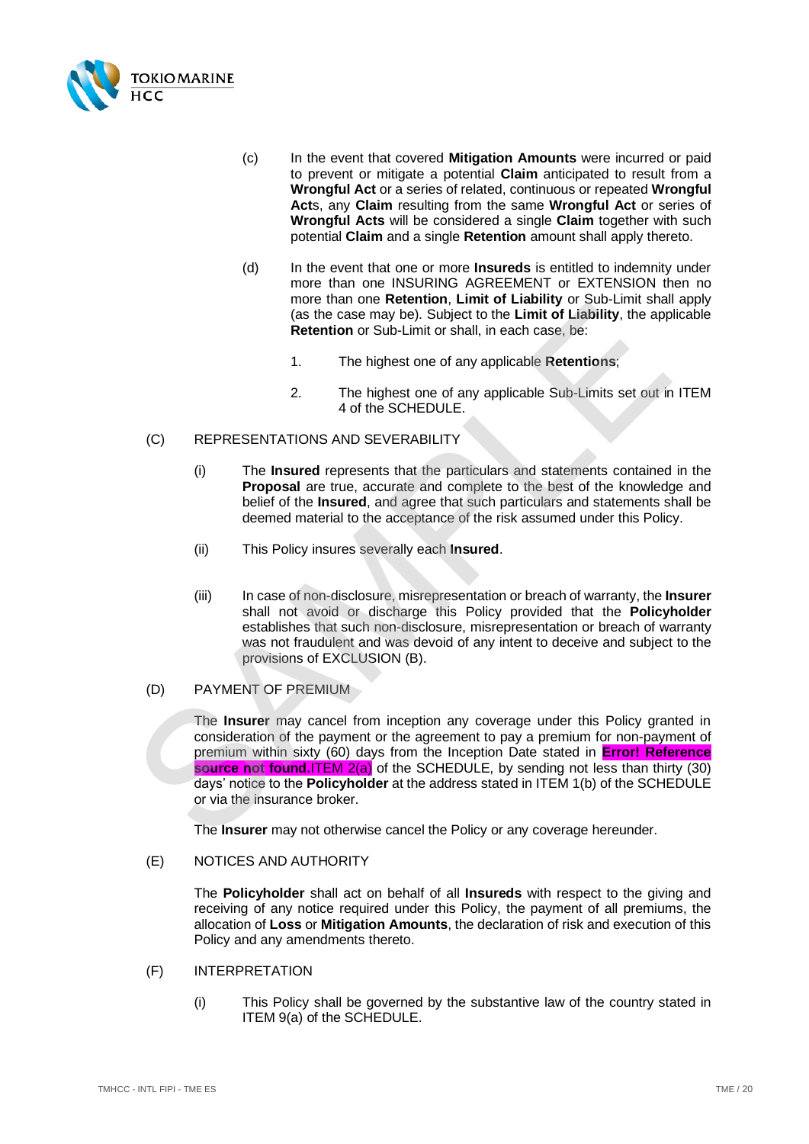

- (c) In the event that covered **Mitigation Amounts** were incurred or paid to prevent or mitigate a potential **Claim** anticipated to result from a **Wrongful Act** or a series of related, continuous or repeated **Wrongful Act**s, any **Claim** resulting from the same **Wrongful Act** or series of **Wrongful Acts** will be considered a single **Claim** together with such potential **Claim** and a single **Retention** amount shall apply thereto.
- (d) In the event that one or more **Insureds** is entitled to indemnity under more than one INSURING AGREEMENT or EXTENSION then no more than one **Retention**, **Limit of Liability** or Sub-Limit shall apply (as the case may be). Subject to the **Limit of Liability**, the applicable **Retention** or Sub-Limit or shall, in each case, be:
	- 1. The highest one of any applicable **Retentions**;
	- 2. The highest one of any applicable Sub-Limits set out in [ITEM](#page-2-9)  4 of the SCHEDULE.

## (C) REPRESENTATIONS AND SEVERABILITY

- (i) The **Insured** represents that the particulars and statements contained in the **Proposal** are true, accurate and complete to the best of the knowledge and belief of the **Insured**, and agree that such particulars and statements shall be deemed material to the acceptance of the risk assumed under this Policy.
- (ii) This Policy insures severally each **Insured**.
- (iii) In case of non-disclosure, misrepresentation or breach of warranty, the **Insurer** shall not avoid or discharge this Policy provided that the **Policyholder** establishes that such non-disclosure, misrepresentation or breach of warranty was not fraudulent and was devoid of any intent to deceive and subject to the provisions of EXCLUSION (B).
- (D) PAYMENT OF PREMIUM

The **Insurer** may cancel from inception any coverage under this Policy granted in consideration of the payment or the agreement to pay a premium for non-payment of premium within sixty (60) days from the Inception Date stated in **Error! Reference source not found.ITEM 2(a)** of the SCHEDULE, by sending not less than thirty (30) days' notice to the **Policyholder** at the address stated in ITEM 1(b) of the SCHEDULE or via the insurance broker. (a) the case may be). Subject to the Limit of Lability, the app<br>
(as the case may be). Subject to the Limit of Liability, the app<br>
Retention or Sub-Limit or shall, in each case, be:<br>
1. The highest one of any applicable Re

The **Insurer** may not otherwise cancel the Policy or any coverage hereunder.

#### (E) NOTICES AND AUTHORITY

The **Policyholder** shall act on behalf of all **Insureds** with respect to the giving and receiving of any notice required under this Policy, the payment of all premiums, the allocation of **Loss** or **Mitigation Amounts**, the declaration of risk and execution of this Policy and any amendments thereto.

- (F) INTERPRETATION
	- (i) This Policy shall be governed by the substantive law of the country stated in [ITEM 9\(a\)](#page-3-3) of the SCHEDULE.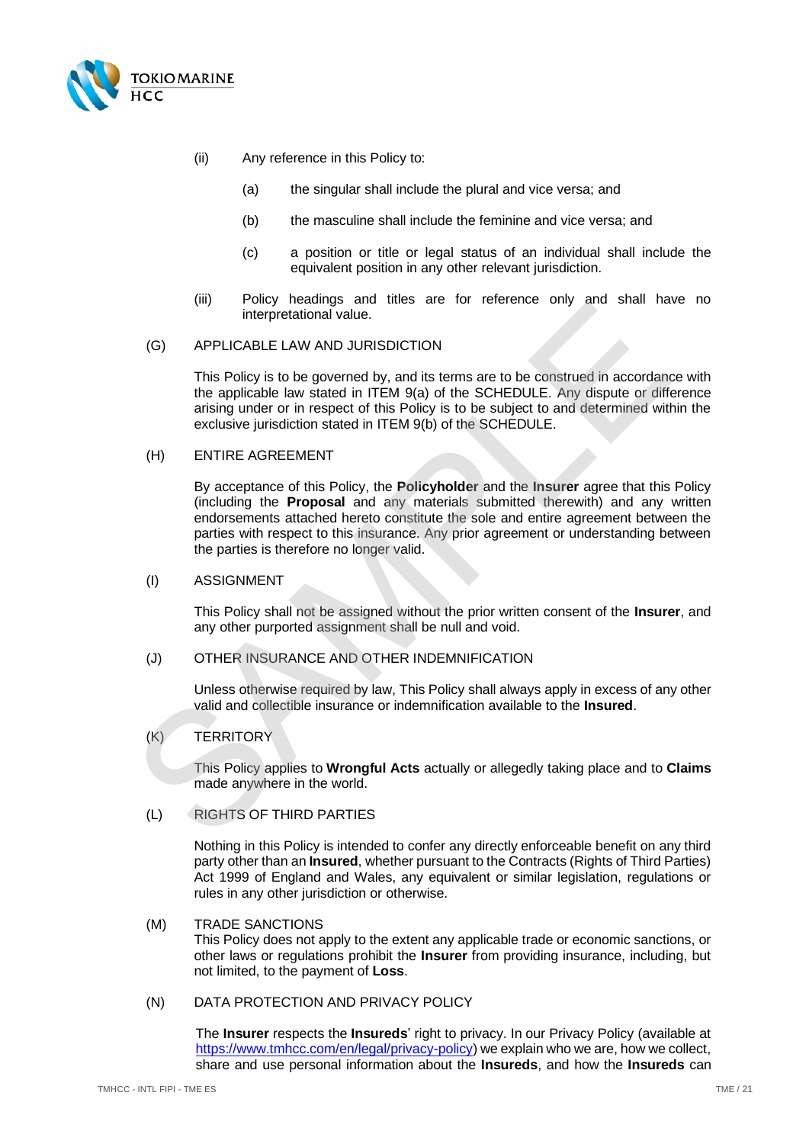

- (ii) Any reference in this Policy to:
	- (a) the singular shall include the plural and vice versa; and
	- (b) the masculine shall include the feminine and vice versa; and
	- (c) a position or title or legal status of an individual shall include the equivalent position in any other relevant jurisdiction.
- (iii) Policy headings and titles are for reference only and shall have no interpretational value.

#### <span id="page-20-0"></span>(G) APPLICABLE LAW AND JURISDICTION

This Policy is to be governed by, and its terms are to be construed in accordance with the applicable law stated in ITEM 9(a) of the SCHEDULE. Any dispute or difference arising under or in respect of this Policy is to be subject to and determined within the exclusive jurisdiction stated in ITEM 9(b) of the SCHEDULE.

#### (H) ENTIRE AGREEMENT

By acceptance of this Policy, the **Policyholder** and the **Insurer** agree that this Policy (including the **Proposal** and any materials submitted therewith) and any written endorsements attached hereto constitute the sole and entire agreement between the parties with respect to this insurance. Any prior agreement or understanding between the parties is therefore no longer valid. (a)<br>
Interpretational value.<br>
(a) APPLICABLE LAW AND JURISDICTION<br>
This Policy is to be governed by, and its terms are to be construed in accordance<br>
the applicable law stated in ITEM 9(a) of the SCHEDULE.<br>
AMP dispute or

#### (I) ASSIGNMENT

This Policy shall not be assigned without the prior written consent of the **Insurer**, and any other purported assignment shall be null and void.

#### (J) OTHER INSURANCE AND OTHER INDEMNIFICATION

Unless otherwise required by law, This Policy shall always apply in excess of any other valid and collectible insurance or indemnification available to the **Insured**.

#### (K) TERRITORY

This Policy applies to **Wrongful Acts** actually or allegedly taking place and to **Claims** made anywhere in the world.

## (L) RIGHTS OF THIRD PARTIES

Nothing in this Policy is intended to confer any directly enforceable benefit on any third party other than an **Insured**, whether pursuant to the Contracts (Rights of Third Parties) Act 1999 of England and Wales, any equivalent or similar legislation, regulations or rules in any other jurisdiction or otherwise.

## (M) TRADE SANCTIONS

This Policy does not apply to the extent any applicable trade or economic sanctions, or other laws or regulations prohibit the **Insurer** from providing insurance, including, but not limited, to the payment of **Loss**.

#### (N) DATA PROTECTION AND PRIVACY POLICY

The **Insurer** respects the **Insureds**' right to privacy. In our Privacy Policy (available at [https://www.tmhcc.com/en/legal/privacy-policy\)](https://www.tmhcc.com/en/legal/privacy-policy) we explain who we are, how we collect, share and use personal information about the **Insureds**, and how the **Insureds** can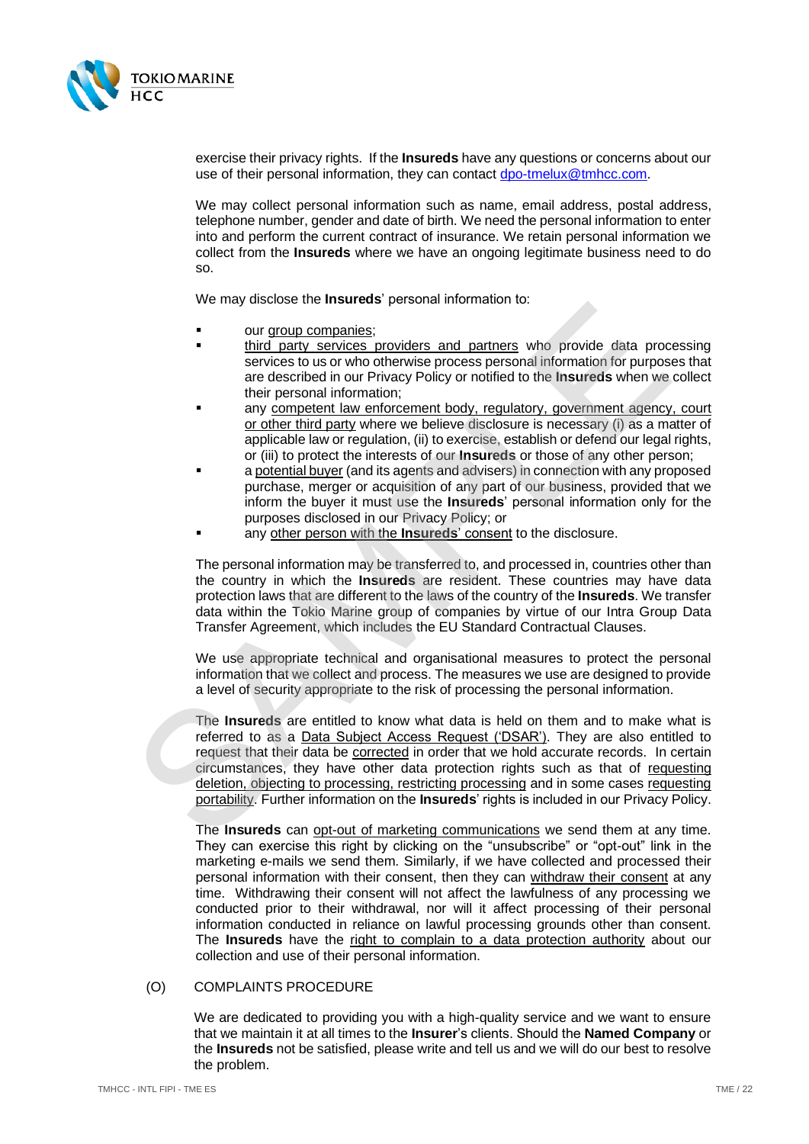

exercise their privacy rights. If the **Insureds** have any questions or concerns about our use of their personal information, they can contact [dpo-tmelux@tmhcc.com.](mailto:dpo-tmelux@tmhcc.com)

We may collect personal information such as name, email address, postal address, telephone number, gender and date of birth. We need the personal information to enter into and perform the current contract of insurance. We retain personal information we collect from the **Insureds** where we have an ongoing legitimate business need to do so.

We may disclose the **Insureds**' personal information to:

- our group companies;
- third party services providers and partners who provide data processing services to us or who otherwise process personal information for purposes that are described in our Privacy Policy or notified to the **Insureds** when we collect their personal information;
- any competent law enforcement body, regulatory, government agency, court or other third party where we believe disclosure is necessary (i) as a matter of applicable law or regulation, (ii) to exercise, establish or defend our legal rights, or (iii) to protect the interests of our **Insureds** or those of any other person;
- a potential buyer (and its agents and advisers) in connection with any proposed purchase, merger or acquisition of any part of our business, provided that we inform the buyer it must use the **Insureds**' personal information only for the purposes disclosed in our Privacy Policy; or
- any other person with the **Insureds**' consent to the disclosure.

The personal information may be transferred to, and processed in, countries other than the country in which the **Insureds** are resident. These countries may have data protection laws that are different to the laws of the country of the **Insureds**. We transfer data within the Tokio Marine group of companies by virtue of our Intra Group Data Transfer Agreement, which includes the EU Standard Contractual Clauses.

We use appropriate technical and organisational measures to protect the personal information that we collect and process. The measures we use are designed to provide a level of security appropriate to the risk of processing the personal information.

The **Insureds** are entitled to know what data is held on them and to make what is referred to as a Data Subject Access Request ('DSAR'). They are also entitled to request that their data be **corrected** in order that we hold accurate records. In certain circumstances, they have other data protection rights such as that of requesting deletion, objecting to processing, restricting processing and in some cases requesting portability. Further information on the **Insureds**' rights is included in our Privacy Policy. The Insurance of the matter and particles are provided in the matter of the matter of the matter of the matter of the matter of the matter and particles are described in our Privacy Policy or notified to the Insured so the

The **Insureds** can opt-out of marketing communications we send them at any time. They can exercise this right by clicking on the "unsubscribe" or "opt-out" link in the marketing e-mails we send them. Similarly, if we have collected and processed their personal information with their consent, then they can withdraw their consent at any time. Withdrawing their consent will not affect the lawfulness of any processing we conducted prior to their withdrawal, nor will it affect processing of their personal information conducted in reliance on lawful processing grounds other than consent. The **Insureds** have the right to complain to a data protection authority about our collection and use of their personal information.

#### (O) COMPLAINTS PROCEDURE

We are dedicated to providing you with a high-quality service and we want to ensure that we maintain it at all times to the **Insurer**'s clients. Should the **Named Company** or the **Insureds** not be satisfied, please write and tell us and we will do our best to resolve the problem.